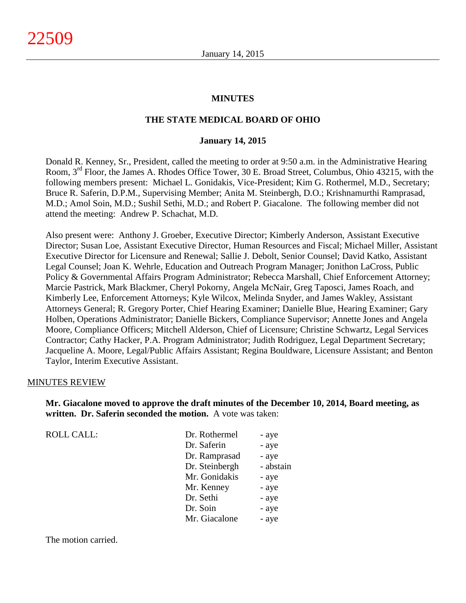#### **MINUTES**

#### **THE STATE MEDICAL BOARD OF OHIO**

#### **January 14, 2015**

Donald R. Kenney, Sr., President, called the meeting to order at 9:50 a.m. in the Administrative Hearing Room, 3rd Floor, the James A. Rhodes Office Tower, 30 E. Broad Street, Columbus, Ohio 43215, with the following members present: Michael L. Gonidakis, Vice-President; Kim G. Rothermel, M.D., Secretary; Bruce R. Saferin, D.P.M., Supervising Member; Anita M. Steinbergh, D.O.; Krishnamurthi Ramprasad, M.D.; Amol Soin, M.D.; Sushil Sethi, M.D.; and Robert P. Giacalone. The following member did not attend the meeting: Andrew P. Schachat, M.D.

Also present were: Anthony J. Groeber, Executive Director; Kimberly Anderson, Assistant Executive Director; Susan Loe, Assistant Executive Director, Human Resources and Fiscal; Michael Miller, Assistant Executive Director for Licensure and Renewal; Sallie J. Debolt, Senior Counsel; David Katko, Assistant Legal Counsel; Joan K. Wehrle, Education and Outreach Program Manager; Jonithon LaCross, Public Policy & Governmental Affairs Program Administrator; Rebecca Marshall, Chief Enforcement Attorney; Marcie Pastrick, Mark Blackmer, Cheryl Pokorny, Angela McNair, Greg Taposci, James Roach, and Kimberly Lee, Enforcement Attorneys; Kyle Wilcox, Melinda Snyder, and James Wakley, Assistant Attorneys General; R. Gregory Porter, Chief Hearing Examiner; Danielle Blue, Hearing Examiner; Gary Holben, Operations Administrator; Danielle Bickers, Compliance Supervisor; Annette Jones and Angela Moore, Compliance Officers; Mitchell Alderson, Chief of Licensure; Christine Schwartz, Legal Services Contractor; Cathy Hacker, P.A. Program Administrator; Judith Rodriguez, Legal Department Secretary; Jacqueline A. Moore, Legal/Public Affairs Assistant; Regina Bouldware, Licensure Assistant; and Benton Taylor, Interim Executive Assistant.

#### MINUTES REVIEW

**Mr. Giacalone moved to approve the draft minutes of the December 10, 2014, Board meeting, as written. Dr. Saferin seconded the motion.** A vote was taken:

ROLL CALL:

| Dr. Rothermel  | - aye     |
|----------------|-----------|
| Dr. Saferin    | - aye     |
| Dr. Ramprasad  | - aye     |
| Dr. Steinbergh | - abstain |
| Mr. Gonidakis  | - aye     |
| Mr. Kenney     | - aye     |
| Dr. Sethi      | - aye     |
| Dr. Soin       | - aye     |
| Mr. Giacalone  | - aye     |
|                |           |

The motion carried.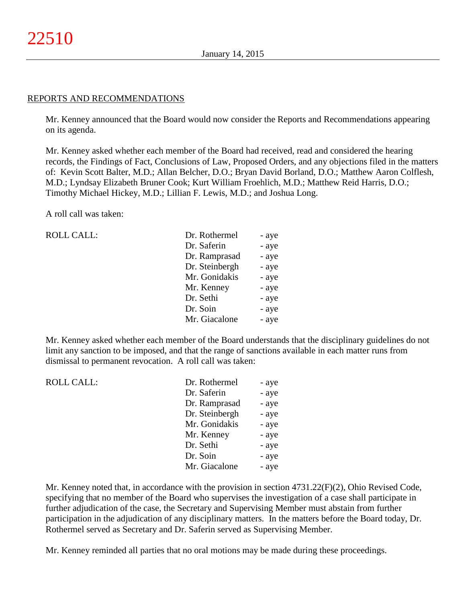#### REPORTS AND RECOMMENDATIONS

Mr. Kenney announced that the Board would now consider the Reports and Recommendations appearing on its agenda.

Mr. Kenney asked whether each member of the Board had received, read and considered the hearing records, the Findings of Fact, Conclusions of Law, Proposed Orders, and any objections filed in the matters of: Kevin Scott Balter, M.D.; Allan Belcher, D.O.; Bryan David Borland, D.O.; Matthew Aaron Colflesh, M.D.; Lyndsay Elizabeth Bruner Cook; Kurt William Froehlich, M.D.; Matthew Reid Harris, D.O.; Timothy Michael Hickey, M.D.; Lillian F. Lewis, M.D.; and Joshua Long.

A roll call was taken:

| <b>ROLL CALL:</b> | Dr. Rothermel  | - aye |
|-------------------|----------------|-------|
|                   | Dr. Saferin    | - aye |
|                   | Dr. Ramprasad  | - aye |
|                   | Dr. Steinbergh | - aye |
|                   | Mr. Gonidakis  | - aye |
|                   | Mr. Kenney     | - aye |
|                   | Dr. Sethi      | - aye |
|                   | Dr. Soin       | - aye |
|                   | Mr. Giacalone  | - aye |
|                   |                |       |

Mr. Kenney asked whether each member of the Board understands that the disciplinary guidelines do not limit any sanction to be imposed, and that the range of sanctions available in each matter runs from dismissal to permanent revocation. A roll call was taken:

| <b>ROLL CALL:</b> | Dr. Rothermel  | - aye |
|-------------------|----------------|-------|
|                   | Dr. Saferin    | - aye |
|                   | Dr. Ramprasad  | - aye |
|                   | Dr. Steinbergh | - aye |
|                   | Mr. Gonidakis  | - aye |
|                   | Mr. Kenney     | - aye |
|                   | Dr. Sethi      | - aye |
|                   | Dr. Soin       | - aye |
|                   | Mr. Giacalone  | - aye |
|                   |                |       |

Mr. Kenney noted that, in accordance with the provision in section 4731.22(F)(2), Ohio Revised Code, specifying that no member of the Board who supervises the investigation of a case shall participate in further adjudication of the case, the Secretary and Supervising Member must abstain from further participation in the adjudication of any disciplinary matters. In the matters before the Board today, Dr. Rothermel served as Secretary and Dr. Saferin served as Supervising Member.

Mr. Kenney reminded all parties that no oral motions may be made during these proceedings.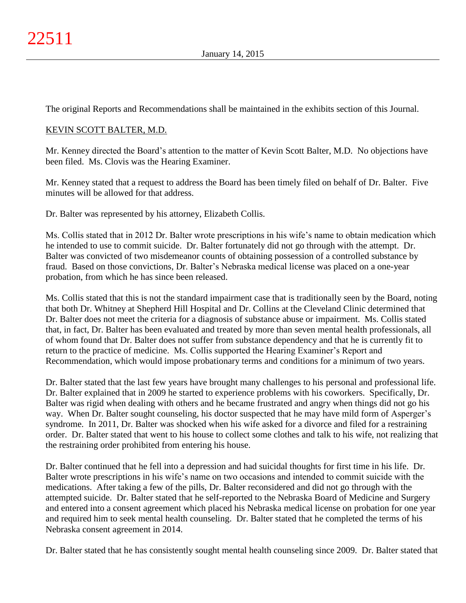The original Reports and Recommendations shall be maintained in the exhibits section of this Journal.

# KEVIN SCOTT BALTER, M.D.

Mr. Kenney directed the Board's attention to the matter of Kevin Scott Balter, M.D. No objections have been filed. Ms. Clovis was the Hearing Examiner.

Mr. Kenney stated that a request to address the Board has been timely filed on behalf of Dr. Balter. Five minutes will be allowed for that address.

Dr. Balter was represented by his attorney, Elizabeth Collis.

Ms. Collis stated that in 2012 Dr. Balter wrote prescriptions in his wife's name to obtain medication which he intended to use to commit suicide. Dr. Balter fortunately did not go through with the attempt. Dr. Balter was convicted of two misdemeanor counts of obtaining possession of a controlled substance by fraud. Based on those convictions, Dr. Balter's Nebraska medical license was placed on a one-year probation, from which he has since been released.

Ms. Collis stated that this is not the standard impairment case that is traditionally seen by the Board, noting that both Dr. Whitney at Shepherd Hill Hospital and Dr. Collins at the Cleveland Clinic determined that Dr. Balter does not meet the criteria for a diagnosis of substance abuse or impairment. Ms. Collis stated that, in fact, Dr. Balter has been evaluated and treated by more than seven mental health professionals, all of whom found that Dr. Balter does not suffer from substance dependency and that he is currently fit to return to the practice of medicine. Ms. Collis supported the Hearing Examiner's Report and Recommendation, which would impose probationary terms and conditions for a minimum of two years.

Dr. Balter stated that the last few years have brought many challenges to his personal and professional life. Dr. Balter explained that in 2009 he started to experience problems with his coworkers. Specifically, Dr. Balter was rigid when dealing with others and he became frustrated and angry when things did not go his way. When Dr. Balter sought counseling, his doctor suspected that he may have mild form of Asperger's syndrome. In 2011, Dr. Balter was shocked when his wife asked for a divorce and filed for a restraining order. Dr. Balter stated that went to his house to collect some clothes and talk to his wife, not realizing that the restraining order prohibited from entering his house.

Dr. Balter continued that he fell into a depression and had suicidal thoughts for first time in his life. Dr. Balter wrote prescriptions in his wife's name on two occasions and intended to commit suicide with the medications. After taking a few of the pills, Dr. Balter reconsidered and did not go through with the attempted suicide. Dr. Balter stated that he self-reported to the Nebraska Board of Medicine and Surgery and entered into a consent agreement which placed his Nebraska medical license on probation for one year and required him to seek mental health counseling. Dr. Balter stated that he completed the terms of his Nebraska consent agreement in 2014.

Dr. Balter stated that he has consistently sought mental health counseling since 2009. Dr. Balter stated that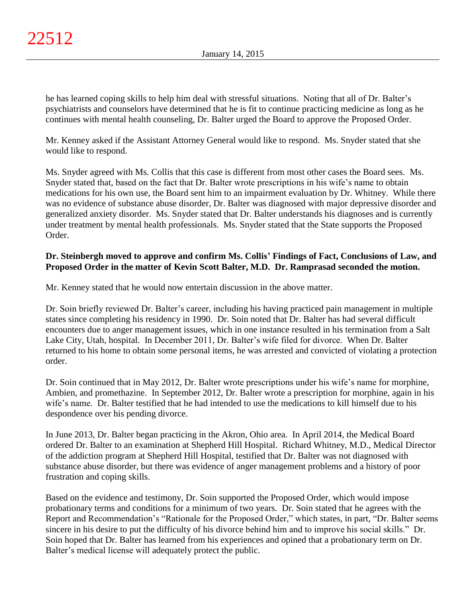he has learned coping skills to help him deal with stressful situations. Noting that all of Dr. Balter's psychiatrists and counselors have determined that he is fit to continue practicing medicine as long as he continues with mental health counseling, Dr. Balter urged the Board to approve the Proposed Order.

Mr. Kenney asked if the Assistant Attorney General would like to respond. Ms. Snyder stated that she would like to respond.

Ms. Snyder agreed with Ms. Collis that this case is different from most other cases the Board sees. Ms. Snyder stated that, based on the fact that Dr. Balter wrote prescriptions in his wife's name to obtain medications for his own use, the Board sent him to an impairment evaluation by Dr. Whitney. While there was no evidence of substance abuse disorder, Dr. Balter was diagnosed with major depressive disorder and generalized anxiety disorder. Ms. Snyder stated that Dr. Balter understands his diagnoses and is currently under treatment by mental health professionals. Ms. Snyder stated that the State supports the Proposed Order.

# **Dr. Steinbergh moved to approve and confirm Ms. Collis' Findings of Fact, Conclusions of Law, and Proposed Order in the matter of Kevin Scott Balter, M.D. Dr. Ramprasad seconded the motion.**

Mr. Kenney stated that he would now entertain discussion in the above matter.

Dr. Soin briefly reviewed Dr. Balter's career, including his having practiced pain management in multiple states since completing his residency in 1990. Dr. Soin noted that Dr. Balter has had several difficult encounters due to anger management issues, which in one instance resulted in his termination from a Salt Lake City, Utah, hospital. In December 2011, Dr. Balter's wife filed for divorce. When Dr. Balter returned to his home to obtain some personal items, he was arrested and convicted of violating a protection order.

Dr. Soin continued that in May 2012, Dr. Balter wrote prescriptions under his wife's name for morphine, Ambien, and promethazine. In September 2012, Dr. Balter wrote a prescription for morphine, again in his wife's name. Dr. Balter testified that he had intended to use the medications to kill himself due to his despondence over his pending divorce.

In June 2013, Dr. Balter began practicing in the Akron, Ohio area. In April 2014, the Medical Board ordered Dr. Balter to an examination at Shepherd Hill Hospital. Richard Whitney, M.D., Medical Director of the addiction program at Shepherd Hill Hospital, testified that Dr. Balter was not diagnosed with substance abuse disorder, but there was evidence of anger management problems and a history of poor frustration and coping skills.

Based on the evidence and testimony, Dr. Soin supported the Proposed Order, which would impose probationary terms and conditions for a minimum of two years. Dr. Soin stated that he agrees with the Report and Recommendation's "Rationale for the Proposed Order," which states, in part, "Dr. Balter seems sincere in his desire to put the difficulty of his divorce behind him and to improve his social skills." Dr. Soin hoped that Dr. Balter has learned from his experiences and opined that a probationary term on Dr. Balter's medical license will adequately protect the public.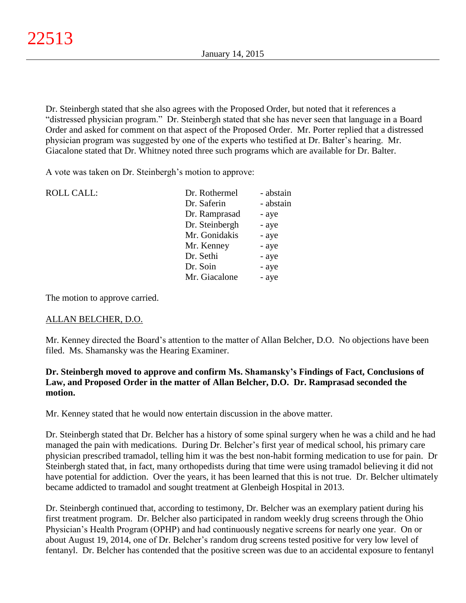Dr. Steinbergh stated that she also agrees with the Proposed Order, but noted that it references a "distressed physician program." Dr. Steinbergh stated that she has never seen that language in a Board Order and asked for comment on that aspect of the Proposed Order. Mr. Porter replied that a distressed physician program was suggested by one of the experts who testified at Dr. Balter's hearing. Mr. Giacalone stated that Dr. Whitney noted three such programs which are available for Dr. Balter.

A vote was taken on Dr. Steinbergh's motion to approve:

| <b>ROLL CALL:</b> | Dr. Rothermel  | - abstain |
|-------------------|----------------|-----------|
|                   | Dr. Saferin    | - abstain |
|                   | Dr. Ramprasad  | - aye     |
|                   | Dr. Steinbergh | - aye     |
|                   | Mr. Gonidakis  | - aye     |
|                   | Mr. Kenney     | - aye     |
|                   | Dr. Sethi      | - aye     |
|                   | Dr. Soin       | - aye     |
|                   | Mr. Giacalone  | - aye     |
|                   |                |           |

The motion to approve carried.

# ALLAN BELCHER, D.O.

Mr. Kenney directed the Board's attention to the matter of Allan Belcher, D.O. No objections have been filed. Ms. Shamansky was the Hearing Examiner.

# **Dr. Steinbergh moved to approve and confirm Ms. Shamansky's Findings of Fact, Conclusions of Law, and Proposed Order in the matter of Allan Belcher, D.O. Dr. Ramprasad seconded the motion.**

Mr. Kenney stated that he would now entertain discussion in the above matter.

Dr. Steinbergh stated that Dr. Belcher has a history of some spinal surgery when he was a child and he had managed the pain with medications. During Dr. Belcher's first year of medical school, his primary care physician prescribed tramadol, telling him it was the best non-habit forming medication to use for pain. Dr Steinbergh stated that, in fact, many orthopedists during that time were using tramadol believing it did not have potential for addiction. Over the years, it has been learned that this is not true. Dr. Belcher ultimately became addicted to tramadol and sought treatment at Glenbeigh Hospital in 2013.

Dr. Steinbergh continued that, according to testimony, Dr. Belcher was an exemplary patient during his first treatment program. Dr. Belcher also participated in random weekly drug screens through the Ohio Physician's Health Program (OPHP) and had continuously negative screens for nearly one year. On or about August 19, 2014, one of Dr. Belcher's random drug screens tested positive for very low level of fentanyl. Dr. Belcher has contended that the positive screen was due to an accidental exposure to fentanyl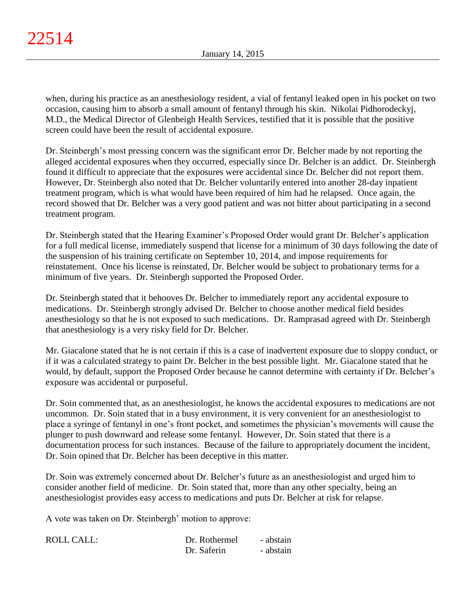when, during his practice as an anesthesiology resident, a vial of fentanyl leaked open in his pocket on two occasion, causing him to absorb a small amount of fentanyl through his skin. Nikolai Pidhorodeckyj, M.D., the Medical Director of Glenbeigh Health Services, testified that it is possible that the positive screen could have been the result of accidental exposure.

Dr. Steinbergh's most pressing concern was the significant error Dr. Belcher made by not reporting the alleged accidental exposures when they occurred, especially since Dr. Belcher is an addict. Dr. Steinbergh found it difficult to appreciate that the exposures were accidental since Dr. Belcher did not report them. However, Dr. Steinbergh also noted that Dr. Belcher voluntarily entered into another 28-day inpatient treatment program, which is what would have been required of him had he relapsed. Once again, the record showed that Dr. Belcher was a very good patient and was not bitter about participating in a second treatment program.

Dr. Steinbergh stated that the Hearing Examiner's Proposed Order would grant Dr. Belcher's application for a full medical license, immediately suspend that license for a minimum of 30 days following the date of the suspension of his training certificate on September 10, 2014, and impose requirements for reinstatement. Once his license is reinstated, Dr. Belcher would be subject to probationary terms for a minimum of five years. Dr. Steinbergh supported the Proposed Order.

Dr. Steinbergh stated that it behooves Dr. Belcher to immediately report any accidental exposure to medications. Dr. Steinbergh strongly advised Dr. Belcher to choose another medical field besides anesthesiology so that he is not exposed to such medications. Dr. Ramprasad agreed with Dr. Steinbergh that anesthesiology is a very risky field for Dr. Belcher.

Mr. Giacalone stated that he is not certain if this is a case of inadvertent exposure due to sloppy conduct, or if it was a calculated strategy to paint Dr. Belcher in the best possible light. Mr. Giacalone stated that he would, by default, support the Proposed Order because he cannot determine with certainty if Dr. Belcher's exposure was accidental or purposeful.

Dr. Soin commented that, as an anesthesiologist, he knows the accidental exposures to medications are not uncommon. Dr. Soin stated that in a busy environment, it is very convenient for an anesthesiologist to place a syringe of fentanyl in one's front pocket, and sometimes the physician's movements will cause the plunger to push downward and release some fentanyl. However, Dr. Soin stated that there is a documentation process for such instances. Because of the failure to appropriately document the incident, Dr. Soin opined that Dr. Belcher has been deceptive in this matter.

Dr. Soin was extremely concerned about Dr. Belcher's future as an anesthesiologist and urged him to consider another field of medicine. Dr. Soin stated that, more than any other specialty, being an anesthesiologist provides easy access to medications and puts Dr. Belcher at risk for relapse.

A vote was taken on Dr. Steinbergh' motion to approve:

| <b>ROLL CALL:</b> | Dr. Rothermel | - abstain |
|-------------------|---------------|-----------|
|                   | Dr. Saferin   | - abstain |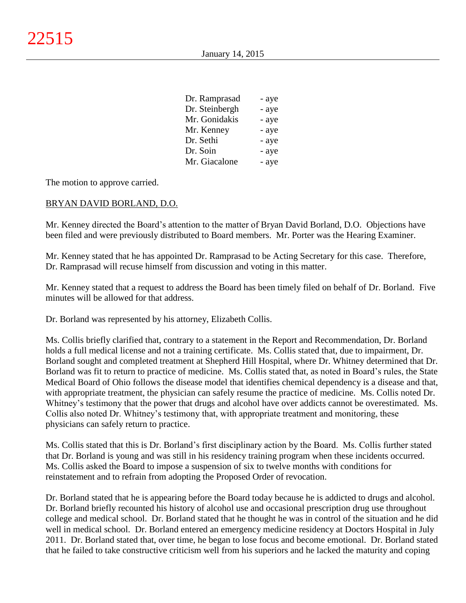| Dr. Ramprasad  | - aye |
|----------------|-------|
| Dr. Steinbergh | - aye |
| Mr. Gonidakis  | - aye |
| Mr. Kenney     | - aye |
| Dr. Sethi      | - aye |
| Dr. Soin       | - aye |
| Mr. Giacalone  | - aye |

The motion to approve carried.

## BRYAN DAVID BORLAND, D.O.

Mr. Kenney directed the Board's attention to the matter of Bryan David Borland, D.O. Objections have been filed and were previously distributed to Board members. Mr. Porter was the Hearing Examiner.

Mr. Kenney stated that he has appointed Dr. Ramprasad to be Acting Secretary for this case. Therefore, Dr. Ramprasad will recuse himself from discussion and voting in this matter.

Mr. Kenney stated that a request to address the Board has been timely filed on behalf of Dr. Borland. Five minutes will be allowed for that address.

Dr. Borland was represented by his attorney, Elizabeth Collis.

Ms. Collis briefly clarified that, contrary to a statement in the Report and Recommendation, Dr. Borland holds a full medical license and not a training certificate. Ms. Collis stated that, due to impairment, Dr. Borland sought and completed treatment at Shepherd Hill Hospital, where Dr. Whitney determined that Dr. Borland was fit to return to practice of medicine. Ms. Collis stated that, as noted in Board's rules, the State Medical Board of Ohio follows the disease model that identifies chemical dependency is a disease and that, with appropriate treatment, the physician can safely resume the practice of medicine. Ms. Collis noted Dr. Whitney's testimony that the power that drugs and alcohol have over addicts cannot be overestimated. Ms. Collis also noted Dr. Whitney's testimony that, with appropriate treatment and monitoring, these physicians can safely return to practice.

Ms. Collis stated that this is Dr. Borland's first disciplinary action by the Board. Ms. Collis further stated that Dr. Borland is young and was still in his residency training program when these incidents occurred. Ms. Collis asked the Board to impose a suspension of six to twelve months with conditions for reinstatement and to refrain from adopting the Proposed Order of revocation.

Dr. Borland stated that he is appearing before the Board today because he is addicted to drugs and alcohol. Dr. Borland briefly recounted his history of alcohol use and occasional prescription drug use throughout college and medical school. Dr. Borland stated that he thought he was in control of the situation and he did well in medical school. Dr. Borland entered an emergency medicine residency at Doctors Hospital in July 2011. Dr. Borland stated that, over time, he began to lose focus and become emotional. Dr. Borland stated that he failed to take constructive criticism well from his superiors and he lacked the maturity and coping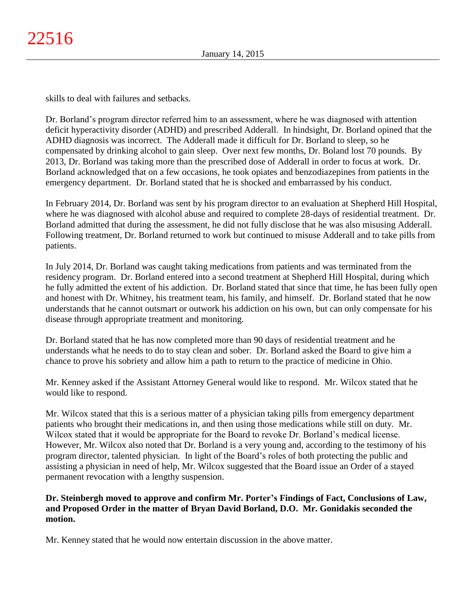skills to deal with failures and setbacks.

Dr. Borland's program director referred him to an assessment, where he was diagnosed with attention deficit hyperactivity disorder (ADHD) and prescribed Adderall. In hindsight, Dr. Borland opined that the ADHD diagnosis was incorrect. The Adderall made it difficult for Dr. Borland to sleep, so he compensated by drinking alcohol to gain sleep. Over next few months, Dr. Boland lost 70 pounds. By 2013, Dr. Borland was taking more than the prescribed dose of Adderall in order to focus at work. Dr. Borland acknowledged that on a few occasions, he took opiates and benzodiazepines from patients in the emergency department. Dr. Borland stated that he is shocked and embarrassed by his conduct.

In February 2014, Dr. Borland was sent by his program director to an evaluation at Shepherd Hill Hospital, where he was diagnosed with alcohol abuse and required to complete 28-days of residential treatment. Dr. Borland admitted that during the assessment, he did not fully disclose that he was also misusing Adderall. Following treatment, Dr. Borland returned to work but continued to misuse Adderall and to take pills from patients.

In July 2014, Dr. Borland was caught taking medications from patients and was terminated from the residency program. Dr. Borland entered into a second treatment at Shepherd Hill Hospital, during which he fully admitted the extent of his addiction. Dr. Borland stated that since that time, he has been fully open and honest with Dr. Whitney, his treatment team, his family, and himself. Dr. Borland stated that he now understands that he cannot outsmart or outwork his addiction on his own, but can only compensate for his disease through appropriate treatment and monitoring.

Dr. Borland stated that he has now completed more than 90 days of residential treatment and he understands what he needs to do to stay clean and sober. Dr. Borland asked the Board to give him a chance to prove his sobriety and allow him a path to return to the practice of medicine in Ohio.

Mr. Kenney asked if the Assistant Attorney General would like to respond. Mr. Wilcox stated that he would like to respond.

Mr. Wilcox stated that this is a serious matter of a physician taking pills from emergency department patients who brought their medications in, and then using those medications while still on duty. Mr. Wilcox stated that it would be appropriate for the Board to revoke Dr. Borland's medical license. However, Mr. Wilcox also noted that Dr. Borland is a very young and, according to the testimony of his program director, talented physician. In light of the Board's roles of both protecting the public and assisting a physician in need of help, Mr. Wilcox suggested that the Board issue an Order of a stayed permanent revocation with a lengthy suspension.

# **Dr. Steinbergh moved to approve and confirm Mr. Porter's Findings of Fact, Conclusions of Law, and Proposed Order in the matter of Bryan David Borland, D.O. Mr. Gonidakis seconded the motion.**

Mr. Kenney stated that he would now entertain discussion in the above matter.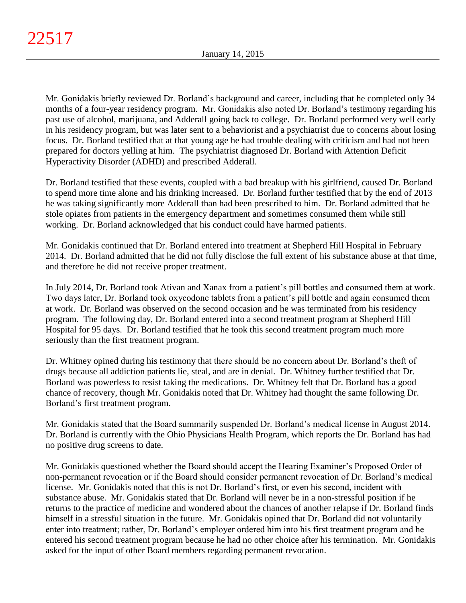Mr. Gonidakis briefly reviewed Dr. Borland's background and career, including that he completed only 34 months of a four-year residency program. Mr. Gonidakis also noted Dr. Borland's testimony regarding his past use of alcohol, marijuana, and Adderall going back to college. Dr. Borland performed very well early in his residency program, but was later sent to a behaviorist and a psychiatrist due to concerns about losing focus. Dr. Borland testified that at that young age he had trouble dealing with criticism and had not been prepared for doctors yelling at him. The psychiatrist diagnosed Dr. Borland with Attention Deficit Hyperactivity Disorder (ADHD) and prescribed Adderall.

Dr. Borland testified that these events, coupled with a bad breakup with his girlfriend, caused Dr. Borland to spend more time alone and his drinking increased. Dr. Borland further testified that by the end of 2013 he was taking significantly more Adderall than had been prescribed to him. Dr. Borland admitted that he stole opiates from patients in the emergency department and sometimes consumed them while still working. Dr. Borland acknowledged that his conduct could have harmed patients.

Mr. Gonidakis continued that Dr. Borland entered into treatment at Shepherd Hill Hospital in February 2014. Dr. Borland admitted that he did not fully disclose the full extent of his substance abuse at that time, and therefore he did not receive proper treatment.

In July 2014, Dr. Borland took Ativan and Xanax from a patient's pill bottles and consumed them at work. Two days later, Dr. Borland took oxycodone tablets from a patient's pill bottle and again consumed them at work. Dr. Borland was observed on the second occasion and he was terminated from his residency program. The following day, Dr. Borland entered into a second treatment program at Shepherd Hill Hospital for 95 days. Dr. Borland testified that he took this second treatment program much more seriously than the first treatment program.

Dr. Whitney opined during his testimony that there should be no concern about Dr. Borland's theft of drugs because all addiction patients lie, steal, and are in denial. Dr. Whitney further testified that Dr. Borland was powerless to resist taking the medications. Dr. Whitney felt that Dr. Borland has a good chance of recovery, though Mr. Gonidakis noted that Dr. Whitney had thought the same following Dr. Borland's first treatment program.

Mr. Gonidakis stated that the Board summarily suspended Dr. Borland's medical license in August 2014. Dr. Borland is currently with the Ohio Physicians Health Program, which reports the Dr. Borland has had no positive drug screens to date.

Mr. Gonidakis questioned whether the Board should accept the Hearing Examiner's Proposed Order of non-permanent revocation or if the Board should consider permanent revocation of Dr. Borland's medical license. Mr. Gonidakis noted that this is not Dr. Borland's first, or even his second, incident with substance abuse. Mr. Gonidakis stated that Dr. Borland will never be in a non-stressful position if he returns to the practice of medicine and wondered about the chances of another relapse if Dr. Borland finds himself in a stressful situation in the future. Mr. Gonidakis opined that Dr. Borland did not voluntarily enter into treatment; rather, Dr. Borland's employer ordered him into his first treatment program and he entered his second treatment program because he had no other choice after his termination. Mr. Gonidakis asked for the input of other Board members regarding permanent revocation.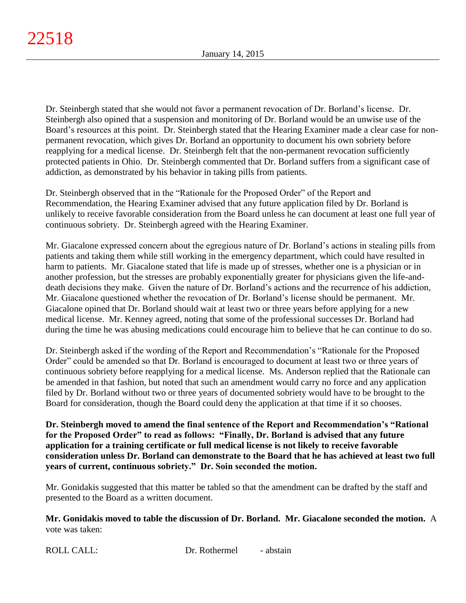Dr. Steinbergh stated that she would not favor a permanent revocation of Dr. Borland's license. Dr. Steinbergh also opined that a suspension and monitoring of Dr. Borland would be an unwise use of the Board's resources at this point. Dr. Steinbergh stated that the Hearing Examiner made a clear case for nonpermanent revocation, which gives Dr. Borland an opportunity to document his own sobriety before reapplying for a medical license. Dr. Steinbergh felt that the non-permanent revocation sufficiently protected patients in Ohio. Dr. Steinbergh commented that Dr. Borland suffers from a significant case of addiction, as demonstrated by his behavior in taking pills from patients.

Dr. Steinbergh observed that in the "Rationale for the Proposed Order" of the Report and Recommendation, the Hearing Examiner advised that any future application filed by Dr. Borland is unlikely to receive favorable consideration from the Board unless he can document at least one full year of continuous sobriety. Dr. Steinbergh agreed with the Hearing Examiner.

Mr. Giacalone expressed concern about the egregious nature of Dr. Borland's actions in stealing pills from patients and taking them while still working in the emergency department, which could have resulted in harm to patients. Mr. Giacalone stated that life is made up of stresses, whether one is a physician or in another profession, but the stresses are probably exponentially greater for physicians given the life-anddeath decisions they make. Given the nature of Dr. Borland's actions and the recurrence of his addiction, Mr. Giacalone questioned whether the revocation of Dr. Borland's license should be permanent. Mr. Giacalone opined that Dr. Borland should wait at least two or three years before applying for a new medical license. Mr. Kenney agreed, noting that some of the professional successes Dr. Borland had during the time he was abusing medications could encourage him to believe that he can continue to do so.

Dr. Steinbergh asked if the wording of the Report and Recommendation's "Rationale for the Proposed Order" could be amended so that Dr. Borland is encouraged to document at least two or three years of continuous sobriety before reapplying for a medical license. Ms. Anderson replied that the Rationale can be amended in that fashion, but noted that such an amendment would carry no force and any application filed by Dr. Borland without two or three years of documented sobriety would have to be brought to the Board for consideration, though the Board could deny the application at that time if it so chooses.

**Dr. Steinbergh moved to amend the final sentence of the Report and Recommendation's "Rational for the Proposed Order" to read as follows: "Finally, Dr. Borland is advised that any future application for a training certificate or full medical license is not likely to receive favorable consideration unless Dr. Borland can demonstrate to the Board that he has achieved at least two full years of current, continuous sobriety." Dr. Soin seconded the motion.**

Mr. Gonidakis suggested that this matter be tabled so that the amendment can be drafted by the staff and presented to the Board as a written document.

**Mr. Gonidakis moved to table the discussion of Dr. Borland. Mr. Giacalone seconded the motion.** A vote was taken: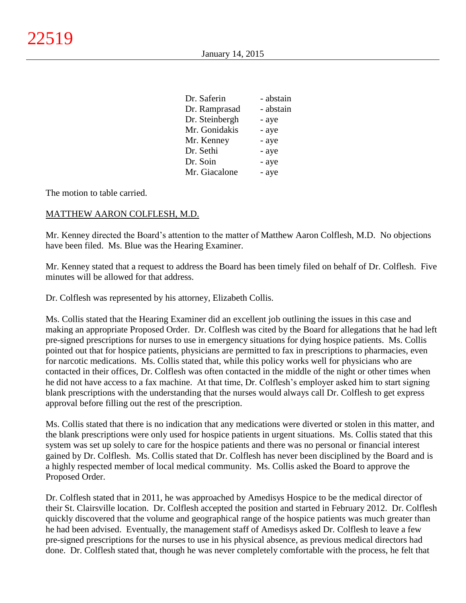| Dr. Saferin    | - abstain |
|----------------|-----------|
| Dr. Ramprasad  | - abstain |
| Dr. Steinbergh | - aye     |
| Mr. Gonidakis  | - aye     |
| Mr. Kenney     | - aye     |
| Dr. Sethi      | - aye     |
| Dr. Soin       | - aye     |
| Mr. Giacalone  | - aye     |
|                |           |

The motion to table carried.

## MATTHEW AARON COLFLESH, M.D.

Mr. Kenney directed the Board's attention to the matter of Matthew Aaron Colflesh, M.D. No objections have been filed. Ms. Blue was the Hearing Examiner.

Mr. Kenney stated that a request to address the Board has been timely filed on behalf of Dr. Colflesh. Five minutes will be allowed for that address.

Dr. Colflesh was represented by his attorney, Elizabeth Collis.

Ms. Collis stated that the Hearing Examiner did an excellent job outlining the issues in this case and making an appropriate Proposed Order. Dr. Colflesh was cited by the Board for allegations that he had left pre-signed prescriptions for nurses to use in emergency situations for dying hospice patients. Ms. Collis pointed out that for hospice patients, physicians are permitted to fax in prescriptions to pharmacies, even for narcotic medications. Ms. Collis stated that, while this policy works well for physicians who are contacted in their offices, Dr. Colflesh was often contacted in the middle of the night or other times when he did not have access to a fax machine. At that time, Dr. Colflesh's employer asked him to start signing blank prescriptions with the understanding that the nurses would always call Dr. Colflesh to get express approval before filling out the rest of the prescription.

Ms. Collis stated that there is no indication that any medications were diverted or stolen in this matter, and the blank prescriptions were only used for hospice patients in urgent situations. Ms. Collis stated that this system was set up solely to care for the hospice patients and there was no personal or financial interest gained by Dr. Colflesh. Ms. Collis stated that Dr. Colflesh has never been disciplined by the Board and is a highly respected member of local medical community. Ms. Collis asked the Board to approve the Proposed Order.

Dr. Colflesh stated that in 2011, he was approached by Amedisys Hospice to be the medical director of their St. Clairsville location. Dr. Colflesh accepted the position and started in February 2012. Dr. Colflesh quickly discovered that the volume and geographical range of the hospice patients was much greater than he had been advised. Eventually, the management staff of Amedisys asked Dr. Colflesh to leave a few pre-signed prescriptions for the nurses to use in his physical absence, as previous medical directors had done. Dr. Colflesh stated that, though he was never completely comfortable with the process, he felt that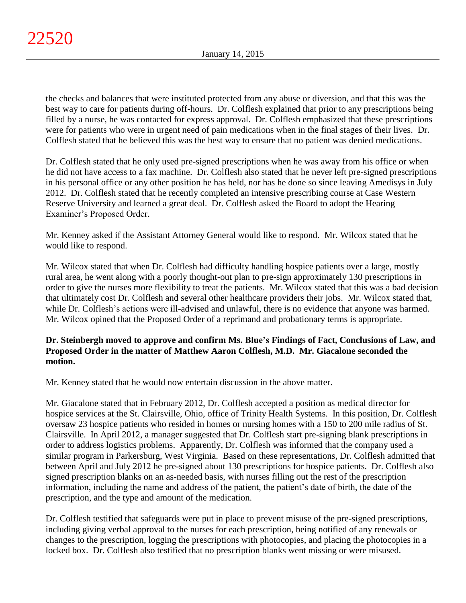the checks and balances that were instituted protected from any abuse or diversion, and that this was the best way to care for patients during off-hours. Dr. Colflesh explained that prior to any prescriptions being filled by a nurse, he was contacted for express approval. Dr. Colflesh emphasized that these prescriptions were for patients who were in urgent need of pain medications when in the final stages of their lives. Dr. Colflesh stated that he believed this was the best way to ensure that no patient was denied medications.

Dr. Colflesh stated that he only used pre-signed prescriptions when he was away from his office or when he did not have access to a fax machine. Dr. Colflesh also stated that he never left pre-signed prescriptions in his personal office or any other position he has held, nor has he done so since leaving Amedisys in July 2012. Dr. Colflesh stated that he recently completed an intensive prescribing course at Case Western Reserve University and learned a great deal. Dr. Colflesh asked the Board to adopt the Hearing Examiner's Proposed Order.

Mr. Kenney asked if the Assistant Attorney General would like to respond. Mr. Wilcox stated that he would like to respond.

Mr. Wilcox stated that when Dr. Colflesh had difficulty handling hospice patients over a large, mostly rural area, he went along with a poorly thought-out plan to pre-sign approximately 130 prescriptions in order to give the nurses more flexibility to treat the patients. Mr. Wilcox stated that this was a bad decision that ultimately cost Dr. Colflesh and several other healthcare providers their jobs. Mr. Wilcox stated that, while Dr. Colflesh's actions were ill-advised and unlawful, there is no evidence that anyone was harmed. Mr. Wilcox opined that the Proposed Order of a reprimand and probationary terms is appropriate.

# **Dr. Steinbergh moved to approve and confirm Ms. Blue's Findings of Fact, Conclusions of Law, and Proposed Order in the matter of Matthew Aaron Colflesh, M.D. Mr. Giacalone seconded the motion.**

Mr. Kenney stated that he would now entertain discussion in the above matter.

Mr. Giacalone stated that in February 2012, Dr. Colflesh accepted a position as medical director for hospice services at the St. Clairsville, Ohio, office of Trinity Health Systems. In this position, Dr. Colflesh oversaw 23 hospice patients who resided in homes or nursing homes with a 150 to 200 mile radius of St. Clairsville. In April 2012, a manager suggested that Dr. Colflesh start pre-signing blank prescriptions in order to address logistics problems. Apparently, Dr. Colflesh was informed that the company used a similar program in Parkersburg, West Virginia. Based on these representations, Dr. Colflesh admitted that between April and July 2012 he pre-signed about 130 prescriptions for hospice patients. Dr. Colflesh also signed prescription blanks on an as-needed basis, with nurses filling out the rest of the prescription information, including the name and address of the patient, the patient's date of birth, the date of the prescription, and the type and amount of the medication.

Dr. Colflesh testified that safeguards were put in place to prevent misuse of the pre-signed prescriptions, including giving verbal approval to the nurses for each prescription, being notified of any renewals or changes to the prescription, logging the prescriptions with photocopies, and placing the photocopies in a locked box. Dr. Colflesh also testified that no prescription blanks went missing or were misused.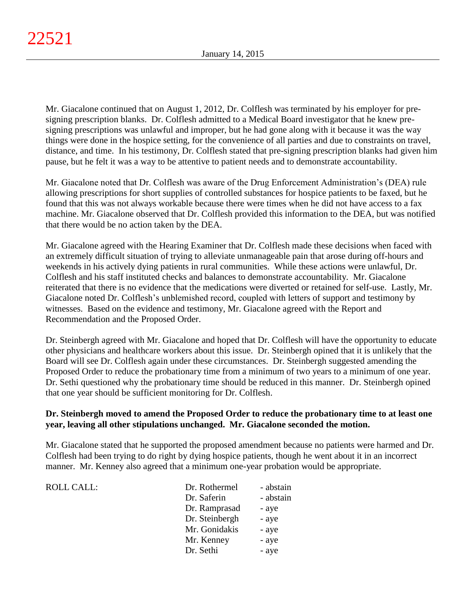Mr. Giacalone continued that on August 1, 2012, Dr. Colflesh was terminated by his employer for presigning prescription blanks. Dr. Colflesh admitted to a Medical Board investigator that he knew presigning prescriptions was unlawful and improper, but he had gone along with it because it was the way things were done in the hospice setting, for the convenience of all parties and due to constraints on travel, distance, and time. In his testimony, Dr. Colflesh stated that pre-signing prescription blanks had given him pause, but he felt it was a way to be attentive to patient needs and to demonstrate accountability.

Mr. Giacalone noted that Dr. Colflesh was aware of the Drug Enforcement Administration's (DEA) rule allowing prescriptions for short supplies of controlled substances for hospice patients to be faxed, but he found that this was not always workable because there were times when he did not have access to a fax machine. Mr. Giacalone observed that Dr. Colflesh provided this information to the DEA, but was notified that there would be no action taken by the DEA.

Mr. Giacalone agreed with the Hearing Examiner that Dr. Colflesh made these decisions when faced with an extremely difficult situation of trying to alleviate unmanageable pain that arose during off-hours and weekends in his actively dying patients in rural communities. While these actions were unlawful, Dr. Colflesh and his staff instituted checks and balances to demonstrate accountability. Mr. Giacalone reiterated that there is no evidence that the medications were diverted or retained for self-use. Lastly, Mr. Giacalone noted Dr. Colflesh's unblemished record, coupled with letters of support and testimony by witnesses. Based on the evidence and testimony, Mr. Giacalone agreed with the Report and Recommendation and the Proposed Order.

Dr. Steinbergh agreed with Mr. Giacalone and hoped that Dr. Colflesh will have the opportunity to educate other physicians and healthcare workers about this issue. Dr. Steinbergh opined that it is unlikely that the Board will see Dr. Colflesh again under these circumstances. Dr. Steinbergh suggested amending the Proposed Order to reduce the probationary time from a minimum of two years to a minimum of one year. Dr. Sethi questioned why the probationary time should be reduced in this manner. Dr. Steinbergh opined that one year should be sufficient monitoring for Dr. Colflesh.

# **Dr. Steinbergh moved to amend the Proposed Order to reduce the probationary time to at least one year, leaving all other stipulations unchanged. Mr. Giacalone seconded the motion.**

Mr. Giacalone stated that he supported the proposed amendment because no patients were harmed and Dr. Colflesh had been trying to do right by dying hospice patients, though he went about it in an incorrect manner. Mr. Kenney also agreed that a minimum one-year probation would be appropriate.

| <b>ROLL CALL:</b> | Dr. Rothermel  | - abstain |
|-------------------|----------------|-----------|
|                   | Dr. Saferin    | - abstain |
|                   | Dr. Ramprasad  | - aye     |
|                   | Dr. Steinbergh | - aye     |
|                   | Mr. Gonidakis  | - aye     |
|                   | Mr. Kenney     | - aye     |
|                   | Dr. Sethi      | - aye     |
|                   |                |           |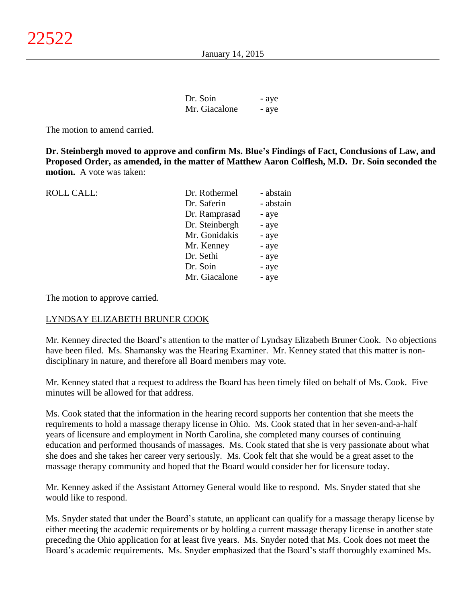| Dr. Soin      | - aye |
|---------------|-------|
| Mr. Giacalone | - aye |

The motion to amend carried.

**Dr. Steinbergh moved to approve and confirm Ms. Blue's Findings of Fact, Conclusions of Law, and Proposed Order, as amended, in the matter of Matthew Aaron Colflesh, M.D. Dr. Soin seconded the motion.** A vote was taken:

| <b>ROLL CALL:</b> | Dr. Rothermel  | - abstain |
|-------------------|----------------|-----------|
|                   | Dr. Saferin    | - abstain |
|                   | Dr. Ramprasad  | - aye     |
|                   | Dr. Steinbergh | - aye     |
|                   | Mr. Gonidakis  | - aye     |
|                   | Mr. Kenney     | - aye     |
|                   | Dr. Sethi      | - aye     |
|                   | Dr. Soin       | - aye     |
|                   | Mr. Giacalone  | - aye     |
|                   |                |           |

The motion to approve carried.

## LYNDSAY ELIZABETH BRUNER COOK

Mr. Kenney directed the Board's attention to the matter of Lyndsay Elizabeth Bruner Cook. No objections have been filed. Ms. Shamansky was the Hearing Examiner. Mr. Kenney stated that this matter is nondisciplinary in nature, and therefore all Board members may vote.

Mr. Kenney stated that a request to address the Board has been timely filed on behalf of Ms. Cook. Five minutes will be allowed for that address.

Ms. Cook stated that the information in the hearing record supports her contention that she meets the requirements to hold a massage therapy license in Ohio. Ms. Cook stated that in her seven-and-a-half years of licensure and employment in North Carolina, she completed many courses of continuing education and performed thousands of massages. Ms. Cook stated that she is very passionate about what she does and she takes her career very seriously. Ms. Cook felt that she would be a great asset to the massage therapy community and hoped that the Board would consider her for licensure today.

Mr. Kenney asked if the Assistant Attorney General would like to respond. Ms. Snyder stated that she would like to respond.

Ms. Snyder stated that under the Board's statute, an applicant can qualify for a massage therapy license by either meeting the academic requirements or by holding a current massage therapy license in another state preceding the Ohio application for at least five years. Ms. Snyder noted that Ms. Cook does not meet the Board's academic requirements. Ms. Snyder emphasized that the Board's staff thoroughly examined Ms.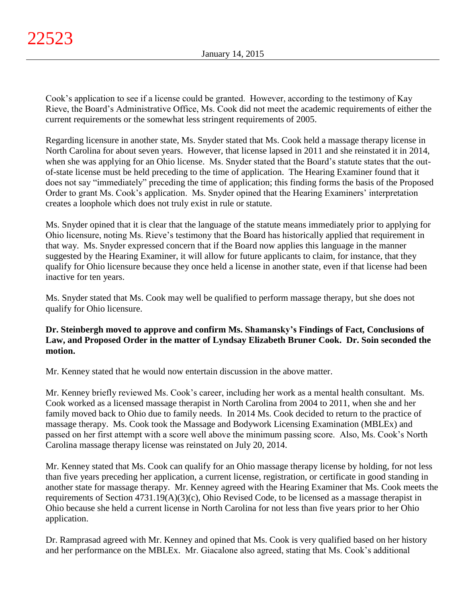Cook's application to see if a license could be granted. However, according to the testimony of Kay Rieve, the Board's Administrative Office, Ms. Cook did not meet the academic requirements of either the current requirements or the somewhat less stringent requirements of 2005.

Regarding licensure in another state, Ms. Snyder stated that Ms. Cook held a massage therapy license in North Carolina for about seven years. However, that license lapsed in 2011 and she reinstated it in 2014, when she was applying for an Ohio license. Ms. Snyder stated that the Board's statute states that the outof-state license must be held preceding to the time of application. The Hearing Examiner found that it does not say "immediately" preceding the time of application; this finding forms the basis of the Proposed Order to grant Ms. Cook's application. Ms. Snyder opined that the Hearing Examiners' interpretation creates a loophole which does not truly exist in rule or statute.

Ms. Snyder opined that it is clear that the language of the statute means immediately prior to applying for Ohio licensure, noting Ms. Rieve's testimony that the Board has historically applied that requirement in that way. Ms. Snyder expressed concern that if the Board now applies this language in the manner suggested by the Hearing Examiner, it will allow for future applicants to claim, for instance, that they qualify for Ohio licensure because they once held a license in another state, even if that license had been inactive for ten years.

Ms. Snyder stated that Ms. Cook may well be qualified to perform massage therapy, but she does not qualify for Ohio licensure.

# **Dr. Steinbergh moved to approve and confirm Ms. Shamansky's Findings of Fact, Conclusions of Law, and Proposed Order in the matter of Lyndsay Elizabeth Bruner Cook. Dr. Soin seconded the motion.**

Mr. Kenney stated that he would now entertain discussion in the above matter.

Mr. Kenney briefly reviewed Ms. Cook's career, including her work as a mental health consultant. Ms. Cook worked as a licensed massage therapist in North Carolina from 2004 to 2011, when she and her family moved back to Ohio due to family needs. In 2014 Ms. Cook decided to return to the practice of massage therapy. Ms. Cook took the Massage and Bodywork Licensing Examination (MBLEx) and passed on her first attempt with a score well above the minimum passing score. Also, Ms. Cook's North Carolina massage therapy license was reinstated on July 20, 2014.

Mr. Kenney stated that Ms. Cook can qualify for an Ohio massage therapy license by holding, for not less than five years preceding her application, a current license, registration, or certificate in good standing in another state for massage therapy. Mr. Kenney agreed with the Hearing Examiner that Ms. Cook meets the requirements of Section 4731.19(A)(3)(c), Ohio Revised Code, to be licensed as a massage therapist in Ohio because she held a current license in North Carolina for not less than five years prior to her Ohio application.

Dr. Ramprasad agreed with Mr. Kenney and opined that Ms. Cook is very qualified based on her history and her performance on the MBLEx. Mr. Giacalone also agreed, stating that Ms. Cook's additional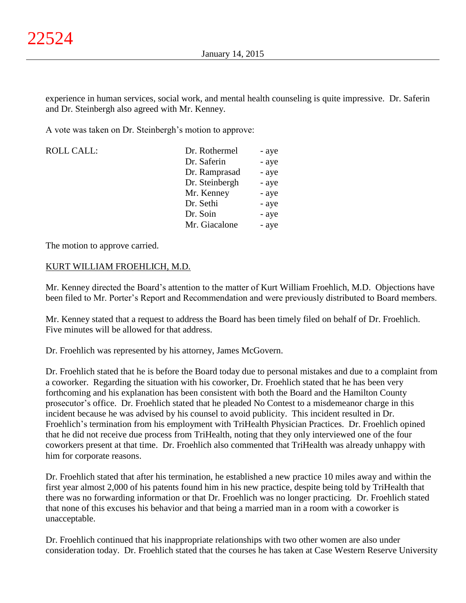experience in human services, social work, and mental health counseling is quite impressive. Dr. Saferin and Dr. Steinbergh also agreed with Mr. Kenney.

A vote was taken on Dr. Steinbergh's motion to approve:

| <b>ROLL CALL:</b> | Dr. Rothermel  | - aye |
|-------------------|----------------|-------|
|                   | Dr. Saferin    | - aye |
|                   | Dr. Ramprasad  | - aye |
|                   | Dr. Steinbergh | - aye |
|                   | Mr. Kenney     | - aye |
|                   | Dr. Sethi      | - aye |
|                   | Dr. Soin       | - aye |
|                   | Mr. Giacalone  | - aye |
|                   |                |       |

The motion to approve carried.

## KURT WILLIAM FROEHLICH, M.D.

Mr. Kenney directed the Board's attention to the matter of Kurt William Froehlich, M.D. Objections have been filed to Mr. Porter's Report and Recommendation and were previously distributed to Board members.

Mr. Kenney stated that a request to address the Board has been timely filed on behalf of Dr. Froehlich. Five minutes will be allowed for that address.

Dr. Froehlich was represented by his attorney, James McGovern.

Dr. Froehlich stated that he is before the Board today due to personal mistakes and due to a complaint from a coworker. Regarding the situation with his coworker, Dr. Froehlich stated that he has been very forthcoming and his explanation has been consistent with both the Board and the Hamilton County prosecutor's office. Dr. Froehlich stated that he pleaded No Contest to a misdemeanor charge in this incident because he was advised by his counsel to avoid publicity. This incident resulted in Dr. Froehlich's termination from his employment with TriHealth Physician Practices. Dr. Froehlich opined that he did not receive due process from TriHealth, noting that they only interviewed one of the four coworkers present at that time. Dr. Froehlich also commented that TriHealth was already unhappy with him for corporate reasons.

Dr. Froehlich stated that after his termination, he established a new practice 10 miles away and within the first year almost 2,000 of his patents found him in his new practice, despite being told by TriHealth that there was no forwarding information or that Dr. Froehlich was no longer practicing. Dr. Froehlich stated that none of this excuses his behavior and that being a married man in a room with a coworker is unacceptable.

Dr. Froehlich continued that his inappropriate relationships with two other women are also under consideration today. Dr. Froehlich stated that the courses he has taken at Case Western Reserve University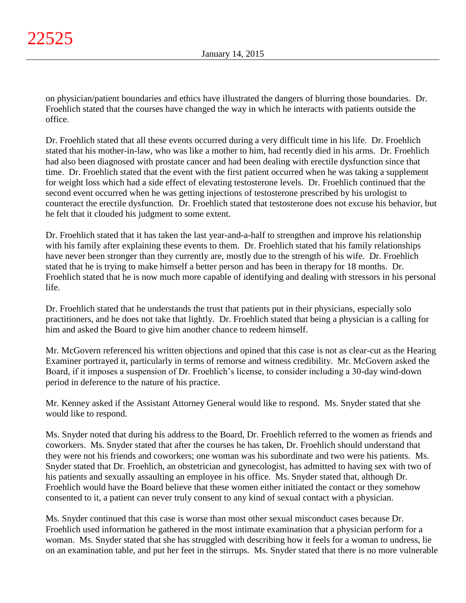on physician/patient boundaries and ethics have illustrated the dangers of blurring those boundaries. Dr. Froehlich stated that the courses have changed the way in which he interacts with patients outside the office.

Dr. Froehlich stated that all these events occurred during a very difficult time in his life. Dr. Froehlich stated that his mother-in-law, who was like a mother to him, had recently died in his arms. Dr. Froehlich had also been diagnosed with prostate cancer and had been dealing with erectile dysfunction since that time. Dr. Froehlich stated that the event with the first patient occurred when he was taking a supplement for weight loss which had a side effect of elevating testosterone levels. Dr. Froehlich continued that the second event occurred when he was getting injections of testosterone prescribed by his urologist to counteract the erectile dysfunction. Dr. Froehlich stated that testosterone does not excuse his behavior, but he felt that it clouded his judgment to some extent.

Dr. Froehlich stated that it has taken the last year-and-a-half to strengthen and improve his relationship with his family after explaining these events to them. Dr. Froehlich stated that his family relationships have never been stronger than they currently are, mostly due to the strength of his wife. Dr. Froehlich stated that he is trying to make himself a better person and has been in therapy for 18 months. Dr. Froehlich stated that he is now much more capable of identifying and dealing with stressors in his personal life.

Dr. Froehlich stated that he understands the trust that patients put in their physicians, especially solo practitioners, and he does not take that lightly. Dr. Froehlich stated that being a physician is a calling for him and asked the Board to give him another chance to redeem himself.

Mr. McGovern referenced his written objections and opined that this case is not as clear-cut as the Hearing Examiner portrayed it, particularly in terms of remorse and witness credibility. Mr. McGovern asked the Board, if it imposes a suspension of Dr. Froehlich's license, to consider including a 30-day wind-down period in deference to the nature of his practice.

Mr. Kenney asked if the Assistant Attorney General would like to respond. Ms. Snyder stated that she would like to respond.

Ms. Snyder noted that during his address to the Board, Dr. Froehlich referred to the women as friends and coworkers. Ms. Snyder stated that after the courses he has taken, Dr. Froehlich should understand that they were not his friends and coworkers; one woman was his subordinate and two were his patients. Ms. Snyder stated that Dr. Froehlich, an obstetrician and gynecologist, has admitted to having sex with two of his patients and sexually assaulting an employee in his office. Ms. Snyder stated that, although Dr. Froehlich would have the Board believe that these women either initiated the contact or they somehow consented to it, a patient can never truly consent to any kind of sexual contact with a physician.

Ms. Snyder continued that this case is worse than most other sexual misconduct cases because Dr. Froehlich used information he gathered in the most intimate examination that a physician perform for a woman. Ms. Snyder stated that she has struggled with describing how it feels for a woman to undress, lie on an examination table, and put her feet in the stirrups. Ms. Snyder stated that there is no more vulnerable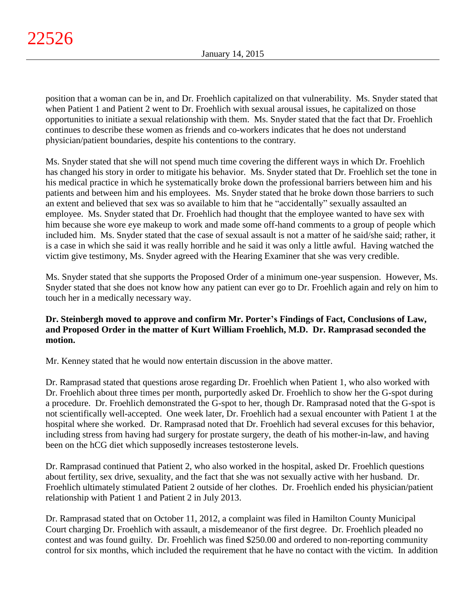position that a woman can be in, and Dr. Froehlich capitalized on that vulnerability. Ms. Snyder stated that when Patient 1 and Patient 2 went to Dr. Froehlich with sexual arousal issues, he capitalized on those opportunities to initiate a sexual relationship with them. Ms. Snyder stated that the fact that Dr. Froehlich continues to describe these women as friends and co-workers indicates that he does not understand physician/patient boundaries, despite his contentions to the contrary.

Ms. Snyder stated that she will not spend much time covering the different ways in which Dr. Froehlich has changed his story in order to mitigate his behavior. Ms. Snyder stated that Dr. Froehlich set the tone in his medical practice in which he systematically broke down the professional barriers between him and his patients and between him and his employees. Ms. Snyder stated that he broke down those barriers to such an extent and believed that sex was so available to him that he "accidentally" sexually assaulted an employee. Ms. Snyder stated that Dr. Froehlich had thought that the employee wanted to have sex with him because she wore eye makeup to work and made some off-hand comments to a group of people which included him. Ms. Snyder stated that the case of sexual assault is not a matter of he said/she said; rather, it is a case in which she said it was really horrible and he said it was only a little awful. Having watched the victim give testimony, Ms. Snyder agreed with the Hearing Examiner that she was very credible.

Ms. Snyder stated that she supports the Proposed Order of a minimum one-year suspension. However, Ms. Snyder stated that she does not know how any patient can ever go to Dr. Froehlich again and rely on him to touch her in a medically necessary way.

# **Dr. Steinbergh moved to approve and confirm Mr. Porter's Findings of Fact, Conclusions of Law, and Proposed Order in the matter of Kurt William Froehlich, M.D. Dr. Ramprasad seconded the motion.**

Mr. Kenney stated that he would now entertain discussion in the above matter.

Dr. Ramprasad stated that questions arose regarding Dr. Froehlich when Patient 1, who also worked with Dr. Froehlich about three times per month, purportedly asked Dr. Froehlich to show her the G-spot during a procedure. Dr. Froehlich demonstrated the G-spot to her, though Dr. Ramprasad noted that the G-spot is not scientifically well-accepted. One week later, Dr. Froehlich had a sexual encounter with Patient 1 at the hospital where she worked. Dr. Ramprasad noted that Dr. Froehlich had several excuses for this behavior, including stress from having had surgery for prostate surgery, the death of his mother-in-law, and having been on the hCG diet which supposedly increases testosterone levels.

Dr. Ramprasad continued that Patient 2, who also worked in the hospital, asked Dr. Froehlich questions about fertility, sex drive, sexuality, and the fact that she was not sexually active with her husband. Dr. Froehlich ultimately stimulated Patient 2 outside of her clothes. Dr. Froehlich ended his physician/patient relationship with Patient 1 and Patient 2 in July 2013.

Dr. Ramprasad stated that on October 11, 2012, a complaint was filed in Hamilton County Municipal Court charging Dr. Froehlich with assault, a misdemeanor of the first degree. Dr. Froehlich pleaded no contest and was found guilty. Dr. Froehlich was fined \$250.00 and ordered to non-reporting community control for six months, which included the requirement that he have no contact with the victim. In addition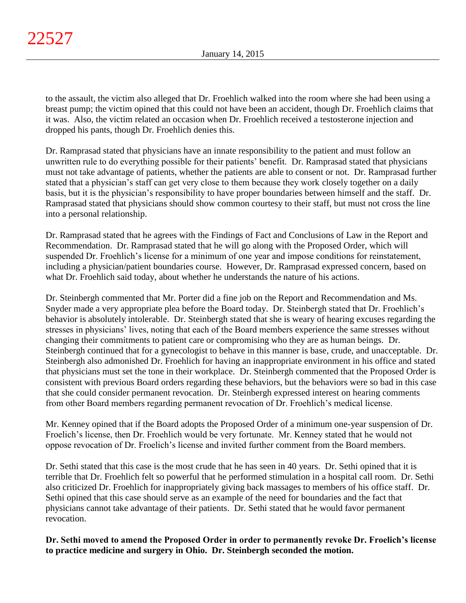to the assault, the victim also alleged that Dr. Froehlich walked into the room where she had been using a breast pump; the victim opined that this could not have been an accident, though Dr. Froehlich claims that it was. Also, the victim related an occasion when Dr. Froehlich received a testosterone injection and dropped his pants, though Dr. Froehlich denies this.

Dr. Ramprasad stated that physicians have an innate responsibility to the patient and must follow an unwritten rule to do everything possible for their patients' benefit. Dr. Ramprasad stated that physicians must not take advantage of patients, whether the patients are able to consent or not. Dr. Ramprasad further stated that a physician's staff can get very close to them because they work closely together on a daily basis, but it is the physician's responsibility to have proper boundaries between himself and the staff. Dr. Ramprasad stated that physicians should show common courtesy to their staff, but must not cross the line into a personal relationship.

Dr. Ramprasad stated that he agrees with the Findings of Fact and Conclusions of Law in the Report and Recommendation. Dr. Ramprasad stated that he will go along with the Proposed Order, which will suspended Dr. Froehlich's license for a minimum of one year and impose conditions for reinstatement, including a physician/patient boundaries course. However, Dr. Ramprasad expressed concern, based on what Dr. Froehlich said today, about whether he understands the nature of his actions.

Dr. Steinbergh commented that Mr. Porter did a fine job on the Report and Recommendation and Ms. Snyder made a very appropriate plea before the Board today. Dr. Steinbergh stated that Dr. Froehlich's behavior is absolutely intolerable. Dr. Steinbergh stated that she is weary of hearing excuses regarding the stresses in physicians' lives, noting that each of the Board members experience the same stresses without changing their commitments to patient care or compromising who they are as human beings. Dr. Steinbergh continued that for a gynecologist to behave in this manner is base, crude, and unacceptable. Dr. Steinbergh also admonished Dr. Froehlich for having an inappropriate environment in his office and stated that physicians must set the tone in their workplace. Dr. Steinbergh commented that the Proposed Order is consistent with previous Board orders regarding these behaviors, but the behaviors were so bad in this case that she could consider permanent revocation. Dr. Steinbergh expressed interest on hearing comments from other Board members regarding permanent revocation of Dr. Froehlich's medical license.

Mr. Kenney opined that if the Board adopts the Proposed Order of a minimum one-year suspension of Dr. Froelich's license, then Dr. Froehlich would be very fortunate. Mr. Kenney stated that he would not oppose revocation of Dr. Froelich's license and invited further comment from the Board members.

Dr. Sethi stated that this case is the most crude that he has seen in 40 years. Dr. Sethi opined that it is terrible that Dr. Froehlich felt so powerful that he performed stimulation in a hospital call room. Dr. Sethi also criticized Dr. Froehlich for inappropriately giving back massages to members of his office staff. Dr. Sethi opined that this case should serve as an example of the need for boundaries and the fact that physicians cannot take advantage of their patients. Dr. Sethi stated that he would favor permanent revocation.

**Dr. Sethi moved to amend the Proposed Order in order to permanently revoke Dr. Froelich's license to practice medicine and surgery in Ohio. Dr. Steinbergh seconded the motion.**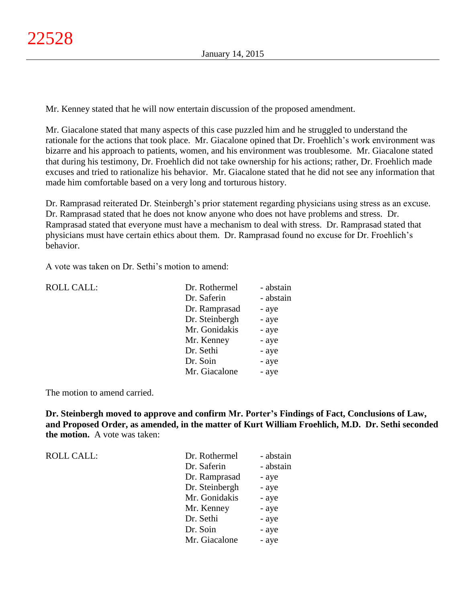Mr. Kenney stated that he will now entertain discussion of the proposed amendment.

Mr. Giacalone stated that many aspects of this case puzzled him and he struggled to understand the rationale for the actions that took place. Mr. Giacalone opined that Dr. Froehlich's work environment was bizarre and his approach to patients, women, and his environment was troublesome. Mr. Giacalone stated that during his testimony, Dr. Froehlich did not take ownership for his actions; rather, Dr. Froehlich made excuses and tried to rationalize his behavior. Mr. Giacalone stated that he did not see any information that made him comfortable based on a very long and torturous history.

Dr. Ramprasad reiterated Dr. Steinbergh's prior statement regarding physicians using stress as an excuse. Dr. Ramprasad stated that he does not know anyone who does not have problems and stress. Dr. Ramprasad stated that everyone must have a mechanism to deal with stress. Dr. Ramprasad stated that physicians must have certain ethics about them. Dr. Ramprasad found no excuse for Dr. Froehlich's behavior.

A vote was taken on Dr. Sethi's motion to amend:

| <b>ROLL CALL:</b> | Dr. Rothermel  | - abstain |
|-------------------|----------------|-----------|
|                   | Dr. Saferin    | - abstain |
|                   | Dr. Ramprasad  | - aye     |
|                   | Dr. Steinbergh | - aye     |
|                   | Mr. Gonidakis  | - aye     |
|                   | Mr. Kenney     | - aye     |
|                   | Dr. Sethi      | - aye     |
|                   | Dr. Soin       | - aye     |
|                   | Mr. Giacalone  | - aye     |
|                   |                |           |

The motion to amend carried.

**Dr. Steinbergh moved to approve and confirm Mr. Porter's Findings of Fact, Conclusions of Law, and Proposed Order, as amended, in the matter of Kurt William Froehlich, M.D. Dr. Sethi seconded the motion.** A vote was taken:

ROLL CALL:

| Dr. Rothermel  | - abstain |
|----------------|-----------|
| Dr. Saferin    | - abstain |
| Dr. Ramprasad  | - aye     |
| Dr. Steinbergh | - aye     |
| Mr. Gonidakis  | - aye     |
| Mr. Kenney     | - aye     |
| Dr. Sethi      | - aye     |
| Dr. Soin       | - aye     |
| Mr. Giacalone  | - aye     |
|                |           |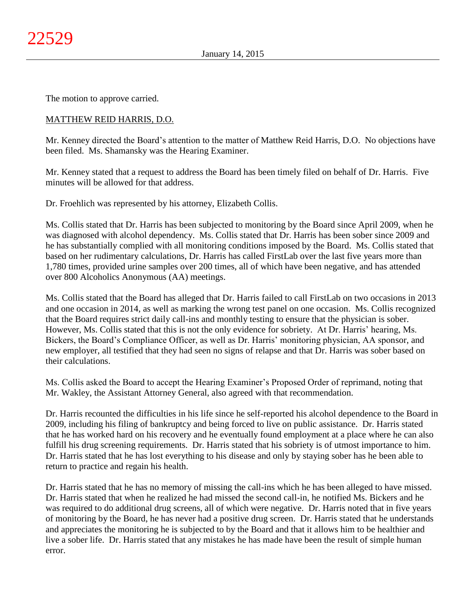The motion to approve carried.

# MATTHEW REID HARRIS, D.O.

Mr. Kenney directed the Board's attention to the matter of Matthew Reid Harris, D.O. No objections have been filed. Ms. Shamansky was the Hearing Examiner.

Mr. Kenney stated that a request to address the Board has been timely filed on behalf of Dr. Harris. Five minutes will be allowed for that address.

Dr. Froehlich was represented by his attorney, Elizabeth Collis.

Ms. Collis stated that Dr. Harris has been subjected to monitoring by the Board since April 2009, when he was diagnosed with alcohol dependency. Ms. Collis stated that Dr. Harris has been sober since 2009 and he has substantially complied with all monitoring conditions imposed by the Board. Ms. Collis stated that based on her rudimentary calculations, Dr. Harris has called FirstLab over the last five years more than 1,780 times, provided urine samples over 200 times, all of which have been negative, and has attended over 800 Alcoholics Anonymous (AA) meetings.

Ms. Collis stated that the Board has alleged that Dr. Harris failed to call FirstLab on two occasions in 2013 and one occasion in 2014, as well as marking the wrong test panel on one occasion. Ms. Collis recognized that the Board requires strict daily call-ins and monthly testing to ensure that the physician is sober. However, Ms. Collis stated that this is not the only evidence for sobriety. At Dr. Harris' hearing, Ms. Bickers, the Board's Compliance Officer, as well as Dr. Harris' monitoring physician, AA sponsor, and new employer, all testified that they had seen no signs of relapse and that Dr. Harris was sober based on their calculations.

Ms. Collis asked the Board to accept the Hearing Examiner's Proposed Order of reprimand, noting that Mr. Wakley, the Assistant Attorney General, also agreed with that recommendation.

Dr. Harris recounted the difficulties in his life since he self-reported his alcohol dependence to the Board in 2009, including his filing of bankruptcy and being forced to live on public assistance. Dr. Harris stated that he has worked hard on his recovery and he eventually found employment at a place where he can also fulfill his drug screening requirements. Dr. Harris stated that his sobriety is of utmost importance to him. Dr. Harris stated that he has lost everything to his disease and only by staying sober has he been able to return to practice and regain his health.

Dr. Harris stated that he has no memory of missing the call-ins which he has been alleged to have missed. Dr. Harris stated that when he realized he had missed the second call-in, he notified Ms. Bickers and he was required to do additional drug screens, all of which were negative. Dr. Harris noted that in five years of monitoring by the Board, he has never had a positive drug screen. Dr. Harris stated that he understands and appreciates the monitoring he is subjected to by the Board and that it allows him to be healthier and live a sober life. Dr. Harris stated that any mistakes he has made have been the result of simple human error.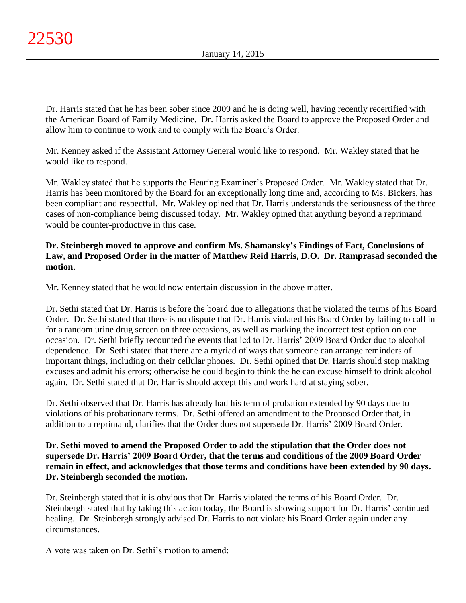Dr. Harris stated that he has been sober since 2009 and he is doing well, having recently recertified with the American Board of Family Medicine. Dr. Harris asked the Board to approve the Proposed Order and allow him to continue to work and to comply with the Board's Order.

Mr. Kenney asked if the Assistant Attorney General would like to respond. Mr. Wakley stated that he would like to respond.

Mr. Wakley stated that he supports the Hearing Examiner's Proposed Order. Mr. Wakley stated that Dr. Harris has been monitored by the Board for an exceptionally long time and, according to Ms. Bickers, has been compliant and respectful. Mr. Wakley opined that Dr. Harris understands the seriousness of the three cases of non-compliance being discussed today. Mr. Wakley opined that anything beyond a reprimand would be counter-productive in this case.

# **Dr. Steinbergh moved to approve and confirm Ms. Shamansky's Findings of Fact, Conclusions of Law, and Proposed Order in the matter of Matthew Reid Harris, D.O. Dr. Ramprasad seconded the motion.**

Mr. Kenney stated that he would now entertain discussion in the above matter.

Dr. Sethi stated that Dr. Harris is before the board due to allegations that he violated the terms of his Board Order. Dr. Sethi stated that there is no dispute that Dr. Harris violated his Board Order by failing to call in for a random urine drug screen on three occasions, as well as marking the incorrect test option on one occasion. Dr. Sethi briefly recounted the events that led to Dr. Harris' 2009 Board Order due to alcohol dependence. Dr. Sethi stated that there are a myriad of ways that someone can arrange reminders of important things, including on their cellular phones. Dr. Sethi opined that Dr. Harris should stop making excuses and admit his errors; otherwise he could begin to think the he can excuse himself to drink alcohol again. Dr. Sethi stated that Dr. Harris should accept this and work hard at staying sober.

Dr. Sethi observed that Dr. Harris has already had his term of probation extended by 90 days due to violations of his probationary terms. Dr. Sethi offered an amendment to the Proposed Order that, in addition to a reprimand, clarifies that the Order does not supersede Dr. Harris' 2009 Board Order.

**Dr. Sethi moved to amend the Proposed Order to add the stipulation that the Order does not supersede Dr. Harris' 2009 Board Order, that the terms and conditions of the 2009 Board Order remain in effect, and acknowledges that those terms and conditions have been extended by 90 days. Dr. Steinbergh seconded the motion.**

Dr. Steinbergh stated that it is obvious that Dr. Harris violated the terms of his Board Order. Dr. Steinbergh stated that by taking this action today, the Board is showing support for Dr. Harris' continued healing. Dr. Steinbergh strongly advised Dr. Harris to not violate his Board Order again under any circumstances.

A vote was taken on Dr. Sethi's motion to amend: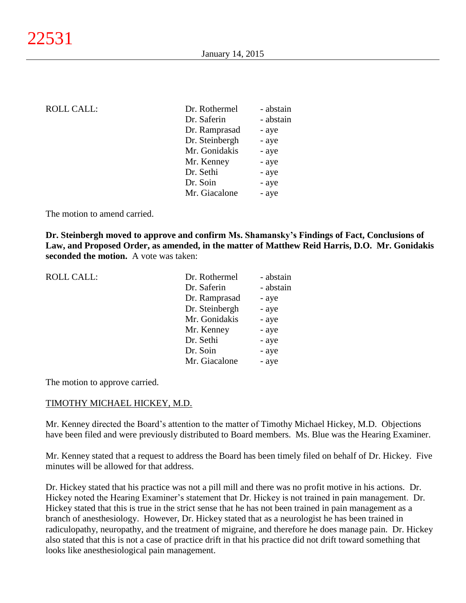| <b>ROLL CALL:</b> | Dr. Rothermel  | - abstain |
|-------------------|----------------|-----------|
|                   | Dr. Saferin    | - abstain |
|                   | Dr. Ramprasad  | - aye     |
|                   | Dr. Steinbergh | - aye     |
|                   | Mr. Gonidakis  | - aye     |
|                   | Mr. Kenney     | - aye     |
|                   | Dr. Sethi      | - aye     |
|                   | Dr. Soin       | - aye     |
|                   | Mr. Giacalone  | - aye     |
|                   |                |           |

The motion to amend carried.

**Dr. Steinbergh moved to approve and confirm Ms. Shamansky's Findings of Fact, Conclusions of Law, and Proposed Order, as amended, in the matter of Matthew Reid Harris, D.O. Mr. Gonidakis seconded the motion.** A vote was taken:

> - abstain - abstain

| ROLL CALL: | Dr. Rothermel  | - abst |
|------------|----------------|--------|
|            | Dr. Saferin    | - abst |
|            | Dr. Ramprasad  | - aye  |
|            | Dr. Steinbergh | - aye  |
|            | Mr. Gonidakis  | - aye  |
|            | Mr. Kenney     | - aye  |
|            | Dr. Sethi      | - aye  |

The motion to approve carried.

#### TIMOTHY MICHAEL HICKEY, M.D.

Mr. Kenney directed the Board's attention to the matter of Timothy Michael Hickey, M.D. Objections have been filed and were previously distributed to Board members. Ms. Blue was the Hearing Examiner.

Dr. Soin - aye Mr. Giacalone - aye

Mr. Kenney stated that a request to address the Board has been timely filed on behalf of Dr. Hickey. Five minutes will be allowed for that address.

Dr. Hickey stated that his practice was not a pill mill and there was no profit motive in his actions. Dr. Hickey noted the Hearing Examiner's statement that Dr. Hickey is not trained in pain management. Dr. Hickey stated that this is true in the strict sense that he has not been trained in pain management as a branch of anesthesiology. However, Dr. Hickey stated that as a neurologist he has been trained in radiculopathy, neuropathy, and the treatment of migraine, and therefore he does manage pain. Dr. Hickey also stated that this is not a case of practice drift in that his practice did not drift toward something that looks like anesthesiological pain management.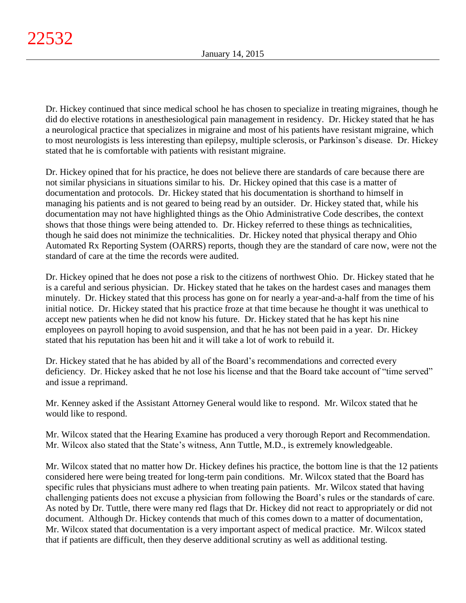Dr. Hickey continued that since medical school he has chosen to specialize in treating migraines, though he did do elective rotations in anesthesiological pain management in residency. Dr. Hickey stated that he has a neurological practice that specializes in migraine and most of his patients have resistant migraine, which to most neurologists is less interesting than epilepsy, multiple sclerosis, or Parkinson's disease. Dr. Hickey stated that he is comfortable with patients with resistant migraine.

Dr. Hickey opined that for his practice, he does not believe there are standards of care because there are not similar physicians in situations similar to his. Dr. Hickey opined that this case is a matter of documentation and protocols. Dr. Hickey stated that his documentation is shorthand to himself in managing his patients and is not geared to being read by an outsider. Dr. Hickey stated that, while his documentation may not have highlighted things as the Ohio Administrative Code describes, the context shows that those things were being attended to. Dr. Hickey referred to these things as technicalities, though he said does not minimize the technicalities. Dr. Hickey noted that physical therapy and Ohio Automated Rx Reporting System (OARRS) reports, though they are the standard of care now, were not the standard of care at the time the records were audited.

Dr. Hickey opined that he does not pose a risk to the citizens of northwest Ohio. Dr. Hickey stated that he is a careful and serious physician. Dr. Hickey stated that he takes on the hardest cases and manages them minutely. Dr. Hickey stated that this process has gone on for nearly a year-and-a-half from the time of his initial notice. Dr. Hickey stated that his practice froze at that time because he thought it was unethical to accept new patients when he did not know his future. Dr. Hickey stated that he has kept his nine employees on payroll hoping to avoid suspension, and that he has not been paid in a year. Dr. Hickey stated that his reputation has been hit and it will take a lot of work to rebuild it.

Dr. Hickey stated that he has abided by all of the Board's recommendations and corrected every deficiency. Dr. Hickey asked that he not lose his license and that the Board take account of "time served" and issue a reprimand.

Mr. Kenney asked if the Assistant Attorney General would like to respond. Mr. Wilcox stated that he would like to respond.

Mr. Wilcox stated that the Hearing Examine has produced a very thorough Report and Recommendation. Mr. Wilcox also stated that the State's witness, Ann Tuttle, M.D., is extremely knowledgeable.

Mr. Wilcox stated that no matter how Dr. Hickey defines his practice, the bottom line is that the 12 patients considered here were being treated for long-term pain conditions. Mr. Wilcox stated that the Board has specific rules that physicians must adhere to when treating pain patients. Mr. Wilcox stated that having challenging patients does not excuse a physician from following the Board's rules or the standards of care. As noted by Dr. Tuttle, there were many red flags that Dr. Hickey did not react to appropriately or did not document. Although Dr. Hickey contends that much of this comes down to a matter of documentation, Mr. Wilcox stated that documentation is a very important aspect of medical practice. Mr. Wilcox stated that if patients are difficult, then they deserve additional scrutiny as well as additional testing.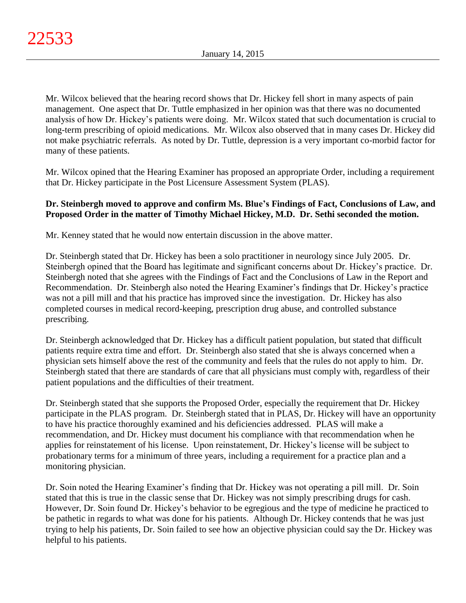Mr. Wilcox believed that the hearing record shows that Dr. Hickey fell short in many aspects of pain management. One aspect that Dr. Tuttle emphasized in her opinion was that there was no documented analysis of how Dr. Hickey's patients were doing. Mr. Wilcox stated that such documentation is crucial to long-term prescribing of opioid medications. Mr. Wilcox also observed that in many cases Dr. Hickey did not make psychiatric referrals. As noted by Dr. Tuttle, depression is a very important co-morbid factor for many of these patients.

Mr. Wilcox opined that the Hearing Examiner has proposed an appropriate Order, including a requirement that Dr. Hickey participate in the Post Licensure Assessment System (PLAS).

# **Dr. Steinbergh moved to approve and confirm Ms. Blue's Findings of Fact, Conclusions of Law, and Proposed Order in the matter of Timothy Michael Hickey, M.D. Dr. Sethi seconded the motion.**

Mr. Kenney stated that he would now entertain discussion in the above matter.

Dr. Steinbergh stated that Dr. Hickey has been a solo practitioner in neurology since July 2005. Dr. Steinbergh opined that the Board has legitimate and significant concerns about Dr. Hickey's practice. Dr. Steinbergh noted that she agrees with the Findings of Fact and the Conclusions of Law in the Report and Recommendation. Dr. Steinbergh also noted the Hearing Examiner's findings that Dr. Hickey's practice was not a pill mill and that his practice has improved since the investigation. Dr. Hickey has also completed courses in medical record-keeping, prescription drug abuse, and controlled substance prescribing.

Dr. Steinbergh acknowledged that Dr. Hickey has a difficult patient population, but stated that difficult patients require extra time and effort. Dr. Steinbergh also stated that she is always concerned when a physician sets himself above the rest of the community and feels that the rules do not apply to him. Dr. Steinbergh stated that there are standards of care that all physicians must comply with, regardless of their patient populations and the difficulties of their treatment.

Dr. Steinbergh stated that she supports the Proposed Order, especially the requirement that Dr. Hickey participate in the PLAS program. Dr. Steinbergh stated that in PLAS, Dr. Hickey will have an opportunity to have his practice thoroughly examined and his deficiencies addressed. PLAS will make a recommendation, and Dr. Hickey must document his compliance with that recommendation when he applies for reinstatement of his license. Upon reinstatement, Dr. Hickey's license will be subject to probationary terms for a minimum of three years, including a requirement for a practice plan and a monitoring physician.

Dr. Soin noted the Hearing Examiner's finding that Dr. Hickey was not operating a pill mill. Dr. Soin stated that this is true in the classic sense that Dr. Hickey was not simply prescribing drugs for cash. However, Dr. Soin found Dr. Hickey's behavior to be egregious and the type of medicine he practiced to be pathetic in regards to what was done for his patients. Although Dr. Hickey contends that he was just trying to help his patients, Dr. Soin failed to see how an objective physician could say the Dr. Hickey was helpful to his patients.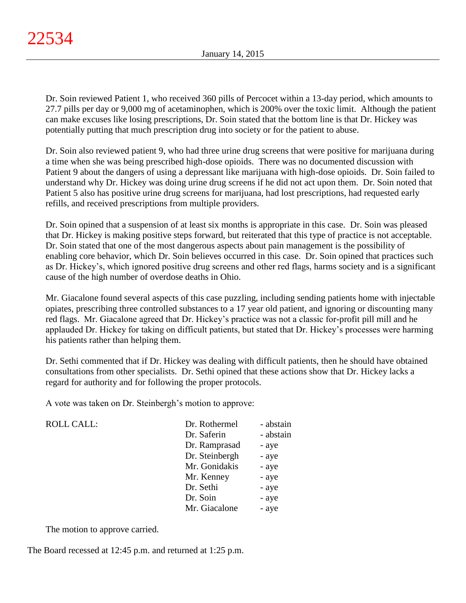Dr. Soin reviewed Patient 1, who received 360 pills of Percocet within a 13-day period, which amounts to 27.7 pills per day or 9,000 mg of acetaminophen, which is 200% over the toxic limit. Although the patient can make excuses like losing prescriptions, Dr. Soin stated that the bottom line is that Dr. Hickey was potentially putting that much prescription drug into society or for the patient to abuse.

Dr. Soin also reviewed patient 9, who had three urine drug screens that were positive for marijuana during a time when she was being prescribed high-dose opioids. There was no documented discussion with Patient 9 about the dangers of using a depressant like marijuana with high-dose opioids. Dr. Soin failed to understand why Dr. Hickey was doing urine drug screens if he did not act upon them. Dr. Soin noted that Patient 5 also has positive urine drug screens for marijuana, had lost prescriptions, had requested early refills, and received prescriptions from multiple providers.

Dr. Soin opined that a suspension of at least six months is appropriate in this case. Dr. Soin was pleased that Dr. Hickey is making positive steps forward, but reiterated that this type of practice is not acceptable. Dr. Soin stated that one of the most dangerous aspects about pain management is the possibility of enabling core behavior, which Dr. Soin believes occurred in this case. Dr. Soin opined that practices such as Dr. Hickey's, which ignored positive drug screens and other red flags, harms society and is a significant cause of the high number of overdose deaths in Ohio.

Mr. Giacalone found several aspects of this case puzzling, including sending patients home with injectable opiates, prescribing three controlled substances to a 17 year old patient, and ignoring or discounting many red flags. Mr. Giacalone agreed that Dr. Hickey's practice was not a classic for-profit pill mill and he applauded Dr. Hickey for taking on difficult patients, but stated that Dr. Hickey's processes were harming his patients rather than helping them.

Dr. Sethi commented that if Dr. Hickey was dealing with difficult patients, then he should have obtained consultations from other specialists. Dr. Sethi opined that these actions show that Dr. Hickey lacks a regard for authority and for following the proper protocols.

A vote was taken on Dr. Steinbergh's motion to approve:

| Dr. Rothermel  | - abstain |
|----------------|-----------|
| Dr. Saferin    | - abstain |
| Dr. Ramprasad  | - aye     |
| Dr. Steinbergh | - aye     |
| Mr. Gonidakis  | - aye     |
| Mr. Kenney     | - aye     |
| Dr. Sethi      | - aye     |
| Dr. Soin       | - aye     |
| Mr. Giacalone  | - aye     |
|                |           |

The motion to approve carried.

ROLL CALL:

The Board recessed at 12:45 p.m. and returned at 1:25 p.m.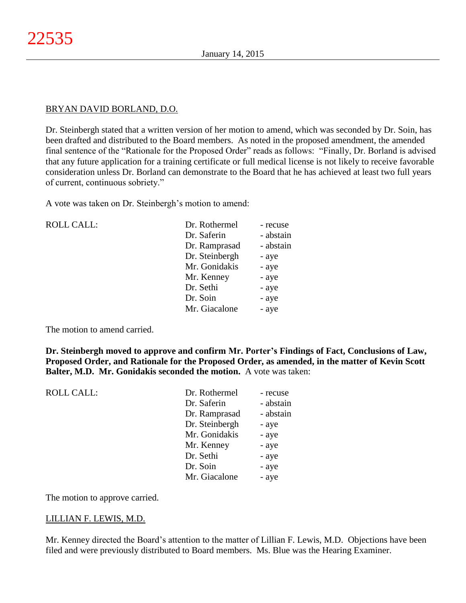## BRYAN DAVID BORLAND, D.O.

Dr. Steinbergh stated that a written version of her motion to amend, which was seconded by Dr. Soin, has been drafted and distributed to the Board members. As noted in the proposed amendment, the amended final sentence of the "Rationale for the Proposed Order" reads as follows: "Finally, Dr. Borland is advised that any future application for a training certificate or full medical license is not likely to receive favorable consideration unless Dr. Borland can demonstrate to the Board that he has achieved at least two full years of current, continuous sobriety."

A vote was taken on Dr. Steinbergh's motion to amend:

| Dr. Rothermel  | - recuse  |
|----------------|-----------|
| Dr. Saferin    | - abstain |
| Dr. Ramprasad  | - abstain |
| Dr. Steinbergh | - aye     |
| Mr. Gonidakis  | - aye     |
| Mr. Kenney     | - aye     |
| Dr. Sethi      | - aye     |
| Dr. Soin       | - aye     |
| Mr. Giacalone  | - aye     |
|                |           |

The motion to amend carried.

ROLL CALL:

**Dr. Steinbergh moved to approve and confirm Mr. Porter's Findings of Fact, Conclusions of Law, Proposed Order, and Rationale for the Proposed Order, as amended, in the matter of Kevin Scott Balter, M.D. Mr. Gonidakis seconded the motion.** A vote was taken:

| - recuse  |
|-----------|
| - abstain |
| - abstain |
|           |
|           |
|           |
|           |
|           |
|           |
|           |

The motion to approve carried.

## LILLIAN F. LEWIS, M.D.

Mr. Kenney directed the Board's attention to the matter of Lillian F. Lewis, M.D. Objections have been filed and were previously distributed to Board members. Ms. Blue was the Hearing Examiner.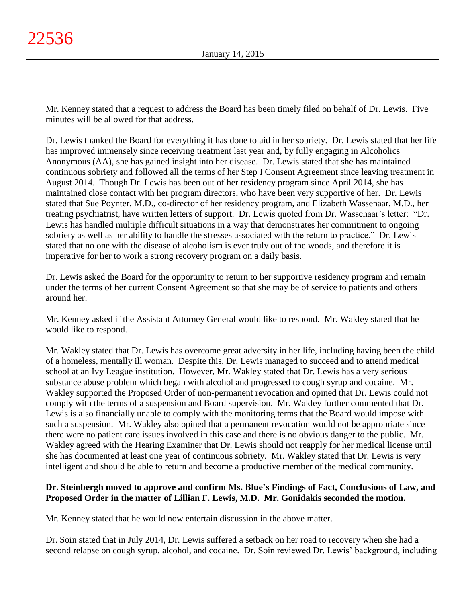Mr. Kenney stated that a request to address the Board has been timely filed on behalf of Dr. Lewis. Five minutes will be allowed for that address.

Dr. Lewis thanked the Board for everything it has done to aid in her sobriety. Dr. Lewis stated that her life has improved immensely since receiving treatment last year and, by fully engaging in Alcoholics Anonymous (AA), she has gained insight into her disease. Dr. Lewis stated that she has maintained continuous sobriety and followed all the terms of her Step I Consent Agreement since leaving treatment in August 2014. Though Dr. Lewis has been out of her residency program since April 2014, she has maintained close contact with her program directors, who have been very supportive of her. Dr. Lewis stated that Sue Poynter, M.D., co-director of her residency program, and Elizabeth Wassenaar, M.D., her treating psychiatrist, have written letters of support. Dr. Lewis quoted from Dr. Wassenaar's letter: "Dr. Lewis has handled multiple difficult situations in a way that demonstrates her commitment to ongoing sobriety as well as her ability to handle the stresses associated with the return to practice." Dr. Lewis stated that no one with the disease of alcoholism is ever truly out of the woods, and therefore it is imperative for her to work a strong recovery program on a daily basis.

Dr. Lewis asked the Board for the opportunity to return to her supportive residency program and remain under the terms of her current Consent Agreement so that she may be of service to patients and others around her.

Mr. Kenney asked if the Assistant Attorney General would like to respond. Mr. Wakley stated that he would like to respond.

Mr. Wakley stated that Dr. Lewis has overcome great adversity in her life, including having been the child of a homeless, mentally ill woman. Despite this, Dr. Lewis managed to succeed and to attend medical school at an Ivy League institution. However, Mr. Wakley stated that Dr. Lewis has a very serious substance abuse problem which began with alcohol and progressed to cough syrup and cocaine. Mr. Wakley supported the Proposed Order of non-permanent revocation and opined that Dr. Lewis could not comply with the terms of a suspension and Board supervision. Mr. Wakley further commented that Dr. Lewis is also financially unable to comply with the monitoring terms that the Board would impose with such a suspension. Mr. Wakley also opined that a permanent revocation would not be appropriate since there were no patient care issues involved in this case and there is no obvious danger to the public. Mr. Wakley agreed with the Hearing Examiner that Dr. Lewis should not reapply for her medical license until she has documented at least one year of continuous sobriety. Mr. Wakley stated that Dr. Lewis is very intelligent and should be able to return and become a productive member of the medical community.

# **Dr. Steinbergh moved to approve and confirm Ms. Blue's Findings of Fact, Conclusions of Law, and Proposed Order in the matter of Lillian F. Lewis, M.D. Mr. Gonidakis seconded the motion.**

Mr. Kenney stated that he would now entertain discussion in the above matter.

Dr. Soin stated that in July 2014, Dr. Lewis suffered a setback on her road to recovery when she had a second relapse on cough syrup, alcohol, and cocaine. Dr. Soin reviewed Dr. Lewis' background, including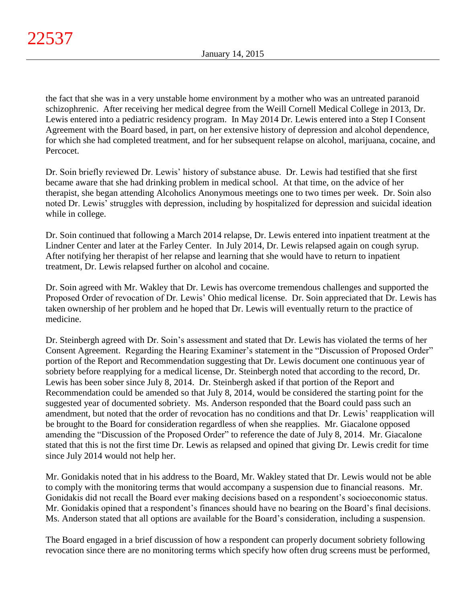the fact that she was in a very unstable home environment by a mother who was an untreated paranoid schizophrenic. After receiving her medical degree from the Weill Cornell Medical College in 2013, Dr. Lewis entered into a pediatric residency program. In May 2014 Dr. Lewis entered into a Step I Consent Agreement with the Board based, in part, on her extensive history of depression and alcohol dependence, for which she had completed treatment, and for her subsequent relapse on alcohol, marijuana, cocaine, and Percocet.

Dr. Soin briefly reviewed Dr. Lewis' history of substance abuse. Dr. Lewis had testified that she first became aware that she had drinking problem in medical school. At that time, on the advice of her therapist, she began attending Alcoholics Anonymous meetings one to two times per week. Dr. Soin also noted Dr. Lewis' struggles with depression, including by hospitalized for depression and suicidal ideation while in college.

Dr. Soin continued that following a March 2014 relapse, Dr. Lewis entered into inpatient treatment at the Lindner Center and later at the Farley Center. In July 2014, Dr. Lewis relapsed again on cough syrup. After notifying her therapist of her relapse and learning that she would have to return to inpatient treatment, Dr. Lewis relapsed further on alcohol and cocaine.

Dr. Soin agreed with Mr. Wakley that Dr. Lewis has overcome tremendous challenges and supported the Proposed Order of revocation of Dr. Lewis' Ohio medical license. Dr. Soin appreciated that Dr. Lewis has taken ownership of her problem and he hoped that Dr. Lewis will eventually return to the practice of medicine.

Dr. Steinbergh agreed with Dr. Soin's assessment and stated that Dr. Lewis has violated the terms of her Consent Agreement. Regarding the Hearing Examiner's statement in the "Discussion of Proposed Order" portion of the Report and Recommendation suggesting that Dr. Lewis document one continuous year of sobriety before reapplying for a medical license, Dr. Steinbergh noted that according to the record, Dr. Lewis has been sober since July 8, 2014. Dr. Steinbergh asked if that portion of the Report and Recommendation could be amended so that July 8, 2014, would be considered the starting point for the suggested year of documented sobriety. Ms. Anderson responded that the Board could pass such an amendment, but noted that the order of revocation has no conditions and that Dr. Lewis' reapplication will be brought to the Board for consideration regardless of when she reapplies. Mr. Giacalone opposed amending the "Discussion of the Proposed Order" to reference the date of July 8, 2014. Mr. Giacalone stated that this is not the first time Dr. Lewis as relapsed and opined that giving Dr. Lewis credit for time since July 2014 would not help her.

Mr. Gonidakis noted that in his address to the Board, Mr. Wakley stated that Dr. Lewis would not be able to comply with the monitoring terms that would accompany a suspension due to financial reasons. Mr. Gonidakis did not recall the Board ever making decisions based on a respondent's socioeconomic status. Mr. Gonidakis opined that a respondent's finances should have no bearing on the Board's final decisions. Ms. Anderson stated that all options are available for the Board's consideration, including a suspension.

The Board engaged in a brief discussion of how a respondent can properly document sobriety following revocation since there are no monitoring terms which specify how often drug screens must be performed,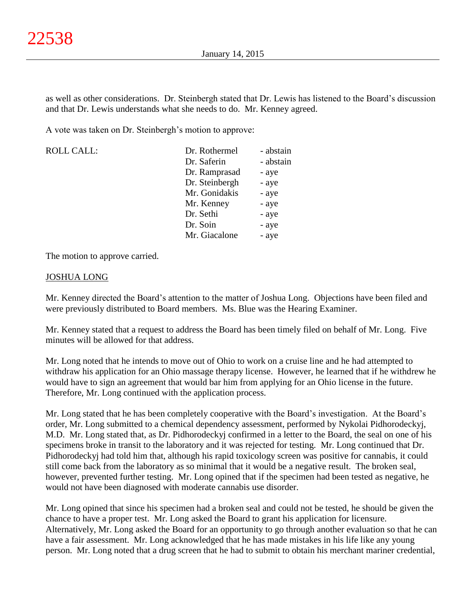as well as other considerations. Dr. Steinbergh stated that Dr. Lewis has listened to the Board's discussion and that Dr. Lewis understands what she needs to do. Mr. Kenney agreed.

A vote was taken on Dr. Steinbergh's motion to approve:

| <b>ROLL CALL:</b> | Dr. Rothermel  | - abstain |
|-------------------|----------------|-----------|
|                   | Dr. Saferin    | - abstain |
|                   | Dr. Ramprasad  | - aye     |
|                   | Dr. Steinbergh | - aye     |
|                   | Mr. Gonidakis  | - aye     |
|                   | Mr. Kenney     | - aye     |
|                   | Dr. Sethi      | - aye     |
|                   | Dr. Soin       | - aye     |
|                   | Mr. Giacalone  | - aye     |

The motion to approve carried.

## JOSHUA LONG

Mr. Kenney directed the Board's attention to the matter of Joshua Long. Objections have been filed and were previously distributed to Board members. Ms. Blue was the Hearing Examiner.

Mr. Kenney stated that a request to address the Board has been timely filed on behalf of Mr. Long. Five minutes will be allowed for that address.

Mr. Long noted that he intends to move out of Ohio to work on a cruise line and he had attempted to withdraw his application for an Ohio massage therapy license. However, he learned that if he withdrew he would have to sign an agreement that would bar him from applying for an Ohio license in the future. Therefore, Mr. Long continued with the application process.

Mr. Long stated that he has been completely cooperative with the Board's investigation. At the Board's order, Mr. Long submitted to a chemical dependency assessment, performed by Nykolai Pidhorodeckyj, M.D. Mr. Long stated that, as Dr. Pidhorodeckyj confirmed in a letter to the Board, the seal on one of his specimens broke in transit to the laboratory and it was rejected for testing. Mr. Long continued that Dr. Pidhorodeckyj had told him that, although his rapid toxicology screen was positive for cannabis, it could still come back from the laboratory as so minimal that it would be a negative result. The broken seal, however, prevented further testing. Mr. Long opined that if the specimen had been tested as negative, he would not have been diagnosed with moderate cannabis use disorder.

Mr. Long opined that since his specimen had a broken seal and could not be tested, he should be given the chance to have a proper test. Mr. Long asked the Board to grant his application for licensure. Alternatively, Mr. Long asked the Board for an opportunity to go through another evaluation so that he can have a fair assessment. Mr. Long acknowledged that he has made mistakes in his life like any young person. Mr. Long noted that a drug screen that he had to submit to obtain his merchant mariner credential,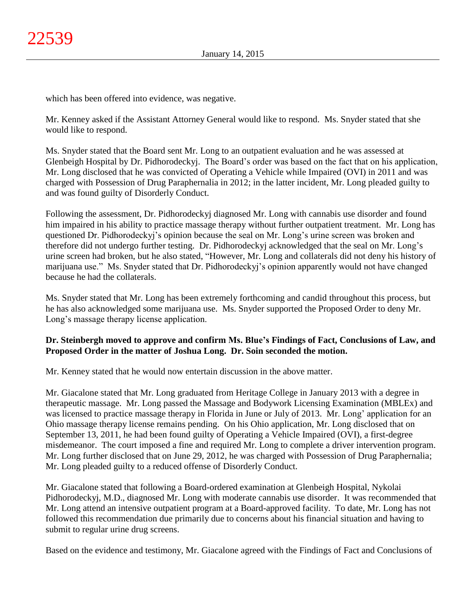which has been offered into evidence, was negative.

Mr. Kenney asked if the Assistant Attorney General would like to respond. Ms. Snyder stated that she would like to respond.

Ms. Snyder stated that the Board sent Mr. Long to an outpatient evaluation and he was assessed at Glenbeigh Hospital by Dr. Pidhorodeckyj. The Board's order was based on the fact that on his application, Mr. Long disclosed that he was convicted of Operating a Vehicle while Impaired (OVI) in 2011 and was charged with Possession of Drug Paraphernalia in 2012; in the latter incident, Mr. Long pleaded guilty to and was found guilty of Disorderly Conduct.

Following the assessment, Dr. Pidhorodeckyj diagnosed Mr. Long with cannabis use disorder and found him impaired in his ability to practice massage therapy without further outpatient treatment. Mr. Long has questioned Dr. Pidhorodeckyj's opinion because the seal on Mr. Long's urine screen was broken and therefore did not undergo further testing. Dr. Pidhorodeckyj acknowledged that the seal on Mr. Long's urine screen had broken, but he also stated, "However, Mr. Long and collaterals did not deny his history of marijuana use." Ms. Snyder stated that Dr. Pidhorodeckyj's opinion apparently would not have changed because he had the collaterals.

Ms. Snyder stated that Mr. Long has been extremely forthcoming and candid throughout this process, but he has also acknowledged some marijuana use. Ms. Snyder supported the Proposed Order to deny Mr. Long's massage therapy license application.

# **Dr. Steinbergh moved to approve and confirm Ms. Blue's Findings of Fact, Conclusions of Law, and Proposed Order in the matter of Joshua Long. Dr. Soin seconded the motion.**

Mr. Kenney stated that he would now entertain discussion in the above matter.

Mr. Giacalone stated that Mr. Long graduated from Heritage College in January 2013 with a degree in therapeutic massage. Mr. Long passed the Massage and Bodywork Licensing Examination (MBLEx) and was licensed to practice massage therapy in Florida in June or July of 2013. Mr. Long' application for an Ohio massage therapy license remains pending. On his Ohio application, Mr. Long disclosed that on September 13, 2011, he had been found guilty of Operating a Vehicle Impaired (OVI), a first-degree misdemeanor. The court imposed a fine and required Mr. Long to complete a driver intervention program. Mr. Long further disclosed that on June 29, 2012, he was charged with Possession of Drug Paraphernalia; Mr. Long pleaded guilty to a reduced offense of Disorderly Conduct.

Mr. Giacalone stated that following a Board-ordered examination at Glenbeigh Hospital, Nykolai Pidhorodeckyj, M.D., diagnosed Mr. Long with moderate cannabis use disorder. It was recommended that Mr. Long attend an intensive outpatient program at a Board-approved facility. To date, Mr. Long has not followed this recommendation due primarily due to concerns about his financial situation and having to submit to regular urine drug screens.

Based on the evidence and testimony, Mr. Giacalone agreed with the Findings of Fact and Conclusions of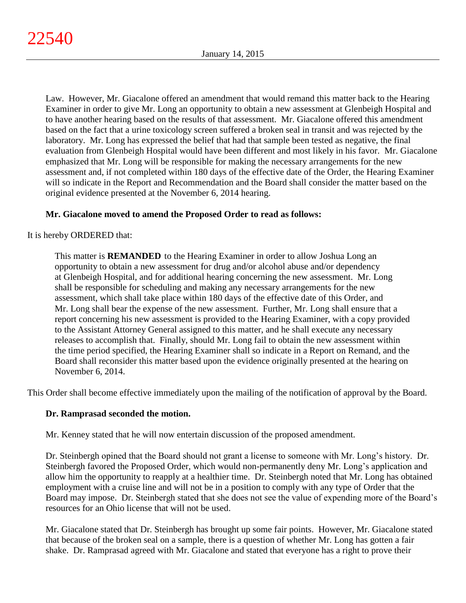Law. However, Mr. Giacalone offered an amendment that would remand this matter back to the Hearing Examiner in order to give Mr. Long an opportunity to obtain a new assessment at Glenbeigh Hospital and to have another hearing based on the results of that assessment. Mr. Giacalone offered this amendment based on the fact that a urine toxicology screen suffered a broken seal in transit and was rejected by the laboratory. Mr. Long has expressed the belief that had that sample been tested as negative, the final evaluation from Glenbeigh Hospital would have been different and most likely in his favor. Mr. Giacalone emphasized that Mr. Long will be responsible for making the necessary arrangements for the new assessment and, if not completed within 180 days of the effective date of the Order, the Hearing Examiner will so indicate in the Report and Recommendation and the Board shall consider the matter based on the original evidence presented at the November 6, 2014 hearing.

# **Mr. Giacalone moved to amend the Proposed Order to read as follows:**

It is hereby ORDERED that:

This matter is **REMANDED** to the Hearing Examiner in order to allow Joshua Long an opportunity to obtain a new assessment for drug and/or alcohol abuse and/or dependency at Glenbeigh Hospital, and for additional hearing concerning the new assessment. Mr. Long shall be responsible for scheduling and making any necessary arrangements for the new assessment, which shall take place within 180 days of the effective date of this Order, and Mr. Long shall bear the expense of the new assessment. Further, Mr. Long shall ensure that a report concerning his new assessment is provided to the Hearing Examiner, with a copy provided to the Assistant Attorney General assigned to this matter, and he shall execute any necessary releases to accomplish that. Finally, should Mr. Long fail to obtain the new assessment within the time period specified, the Hearing Examiner shall so indicate in a Report on Remand, and the Board shall reconsider this matter based upon the evidence originally presented at the hearing on November 6, 2014.

This Order shall become effective immediately upon the mailing of the notification of approval by the Board.

# **Dr. Ramprasad seconded the motion.**

Mr. Kenney stated that he will now entertain discussion of the proposed amendment.

Dr. Steinbergh opined that the Board should not grant a license to someone with Mr. Long's history. Dr. Steinbergh favored the Proposed Order, which would non-permanently deny Mr. Long's application and allow him the opportunity to reapply at a healthier time. Dr. Steinbergh noted that Mr. Long has obtained employment with a cruise line and will not be in a position to comply with any type of Order that the Board may impose. Dr. Steinbergh stated that she does not see the value of expending more of the Board's resources for an Ohio license that will not be used.

Mr. Giacalone stated that Dr. Steinbergh has brought up some fair points. However, Mr. Giacalone stated that because of the broken seal on a sample, there is a question of whether Mr. Long has gotten a fair shake. Dr. Ramprasad agreed with Mr. Giacalone and stated that everyone has a right to prove their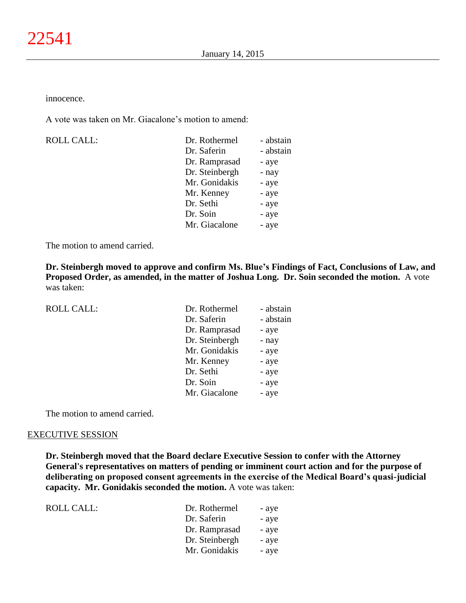innocence.

A vote was taken on Mr. Giacalone's motion to amend:

ROLL CALL:

| Dr. Rothermel  | - abstain |
|----------------|-----------|
| Dr. Saferin    | - abstain |
| Dr. Ramprasad  | - aye     |
| Dr. Steinbergh | - nay     |
| Mr. Gonidakis  | - aye     |
| Mr. Kenney     | - aye     |
| Dr. Sethi      | - aye     |
| Dr. Soin       | - aye     |
| Mr. Giacalone  | - aye     |
|                |           |

The motion to amend carried.

**Dr. Steinbergh moved to approve and confirm Ms. Blue's Findings of Fact, Conclusions of Law, and Proposed Order, as amended, in the matter of Joshua Long. Dr. Soin seconded the motion.** A vote was taken:

| <b>ROLL CALL:</b> | Dr. Rothermel  | - abstain |
|-------------------|----------------|-----------|
|                   | Dr. Saferin    | - abstain |
|                   | Dr. Ramprasad  | - aye     |
|                   | Dr. Steinbergh | - nay     |
|                   | Mr. Gonidakis  | - aye     |
|                   | Mr. Kenney     | - aye     |
|                   | Dr. Sethi      | - aye     |
|                   | Dr. Soin       | - aye     |
|                   | Mr. Giacalone  | - aye     |
|                   |                |           |

The motion to amend carried.

#### EXECUTIVE SESSION

**Dr. Steinbergh moved that the Board declare Executive Session to confer with the Attorney General's representatives on matters of pending or imminent court action and for the purpose of deliberating on proposed consent agreements in the exercise of the Medical Board's quasi-judicial capacity. Mr. Gonidakis seconded the motion.** A vote was taken:

| Dr. Rothermel  | - ave |
|----------------|-------|
| Dr. Saferin    | - ave |
| Dr. Ramprasad  | - aye |
| Dr. Steinbergh | - ave |
| Mr. Gonidakis  | - aye |
|                |       |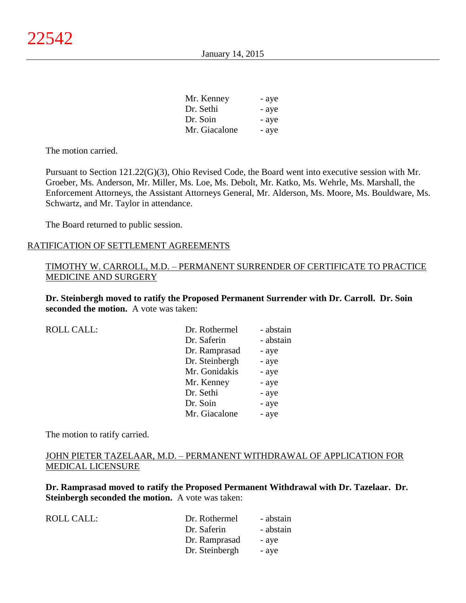| Mr. Kenney    | - aye |
|---------------|-------|
| Dr. Sethi     | - aye |
| Dr. Soin      | - aye |
| Mr. Giacalone | - aye |

The motion carried.

Pursuant to Section 121.22(G)(3), Ohio Revised Code, the Board went into executive session with Mr. Groeber, Ms. Anderson, Mr. Miller, Ms. Loe, Ms. Debolt, Mr. Katko, Ms. Wehrle, Ms. Marshall, the Enforcement Attorneys, the Assistant Attorneys General, Mr. Alderson, Ms. Moore, Ms. Bouldware, Ms. Schwartz, and Mr. Taylor in attendance.

The Board returned to public session.

## RATIFICATION OF SETTLEMENT AGREEMENTS

## TIMOTHY W. CARROLL, M.D. – PERMANENT SURRENDER OF CERTIFICATE TO PRACTICE MEDICINE AND SURGERY

**Dr. Steinbergh moved to ratify the Proposed Permanent Surrender with Dr. Carroll. Dr. Soin seconded the motion.** A vote was taken:

| <b>ROLL CALL:</b> | Dr. Rothermel  | - abstain |
|-------------------|----------------|-----------|
|                   | Dr. Saferin    | - abstain |
|                   | Dr. Ramprasad  | - aye     |
|                   | Dr. Steinbergh | - aye     |
|                   | Mr. Gonidakis  | - aye     |
|                   | Mr. Kenney     | - aye     |
|                   | Dr. Sethi      | - aye     |
|                   | Dr. Soin       | - aye     |
|                   | Mr. Giacalone  | - aye     |

The motion to ratify carried.

# JOHN PIETER TAZELAAR, M.D. – PERMANENT WITHDRAWAL OF APPLICATION FOR MEDICAL LICENSURE

**Dr. Ramprasad moved to ratify the Proposed Permanent Withdrawal with Dr. Tazelaar. Dr. Steinbergh seconded the motion.** A vote was taken:

| ROLL CALL: | Dr. Rothermel  | - abstain |
|------------|----------------|-----------|
|            | Dr. Saferin    | - abstain |
|            | Dr. Ramprasad  | - aye     |
|            | Dr. Steinbergh | - aye     |
|            |                |           |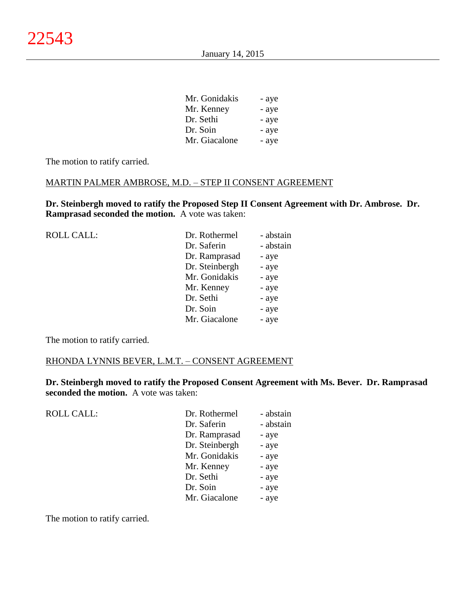| Mr. Gonidakis | - aye |
|---------------|-------|
| Mr. Kenney    | - aye |
| Dr. Sethi     | - aye |
| Dr. Soin      | - aye |
| Mr. Giacalone | - aye |

The motion to ratify carried.

## MARTIN PALMER AMBROSE, M.D. – STEP II CONSENT AGREEMENT

**Dr. Steinbergh moved to ratify the Proposed Step II Consent Agreement with Dr. Ambrose. Dr. Ramprasad seconded the motion.** A vote was taken:

| <b>ROLL CALL:</b> | Dr. Rothermel  | - abstain |
|-------------------|----------------|-----------|
|                   | Dr. Saferin    | - abstain |
|                   | Dr. Ramprasad  | - aye     |
|                   | Dr. Steinbergh | - aye     |
|                   | Mr. Gonidakis  | - aye     |
|                   | Mr. Kenney     | - aye     |
|                   | Dr. Sethi      | - aye     |
|                   | Dr. Soin       | - aye     |
|                   | Mr. Giacalone  | - aye     |
|                   |                |           |

The motion to ratify carried.

### RHONDA LYNNIS BEVER, L.M.T. – CONSENT AGREEMENT

**Dr. Steinbergh moved to ratify the Proposed Consent Agreement with Ms. Bever. Dr. Ramprasad seconded the motion.** A vote was taken:

| ROLL CALL: | Dr. Rothermel  | - abstain |
|------------|----------------|-----------|
|            | Dr. Saferin    | - abstain |
|            | Dr. Ramprasad  | - aye     |
|            | Dr. Steinbergh | - aye     |
|            | Mr. Gonidakis  | - aye     |
|            | Mr. Kenney     | - aye     |
|            | Dr. Sethi      | - aye     |
|            | Dr. Soin       | - aye     |
|            | Mr. Giacalone  | - aye     |
|            |                |           |

The motion to ratify carried.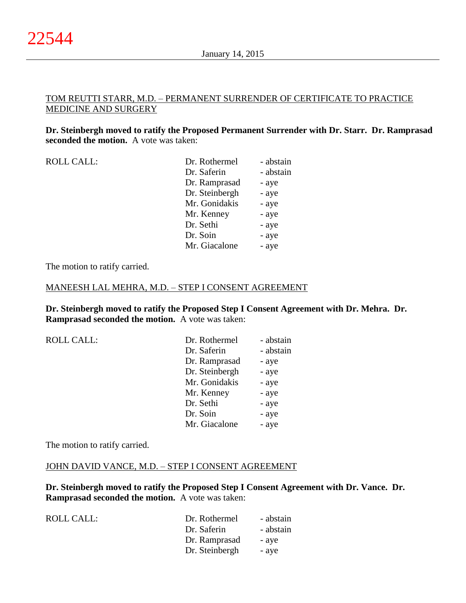## TOM REUTTI STARR, M.D. – PERMANENT SURRENDER OF CERTIFICATE TO PRACTICE MEDICINE AND SURGERY

**Dr. Steinbergh moved to ratify the Proposed Permanent Surrender with Dr. Starr. Dr. Ramprasad seconded the motion.** A vote was taken:

| <b>ROLL CALL:</b> | Dr. Rothermel  | - abstain |
|-------------------|----------------|-----------|
|                   | Dr. Saferin    | - abstain |
|                   | Dr. Ramprasad  | - aye     |
|                   | Dr. Steinbergh | - aye     |
|                   | Mr. Gonidakis  | - aye     |
|                   | Mr. Kenney     | - aye     |
|                   | Dr. Sethi      | - aye     |
|                   | Dr. Soin       | - aye     |
|                   | Mr. Giacalone  | - aye     |

The motion to ratify carried.

#### MANEESH LAL MEHRA, M.D. – STEP I CONSENT AGREEMENT

**Dr. Steinbergh moved to ratify the Proposed Step I Consent Agreement with Dr. Mehra. Dr. Ramprasad seconded the motion.** A vote was taken:

|  | <b>ROLL CALL:</b> |  |
|--|-------------------|--|
|  |                   |  |

| <b>ROLL CALL:</b> | Dr. Rothermel  | - abstain |
|-------------------|----------------|-----------|
|                   | Dr. Saferin    | - abstain |
|                   | Dr. Ramprasad  | - aye     |
|                   | Dr. Steinbergh | - aye     |
|                   | Mr. Gonidakis  | - aye     |
|                   | Mr. Kenney     | - aye     |
|                   | Dr. Sethi      | - aye     |
|                   | Dr. Soin       | - aye     |
|                   | Mr. Giacalone  | - aye     |

The motion to ratify carried.

#### JOHN DAVID VANCE, M.D. – STEP I CONSENT AGREEMENT

**Dr. Steinbergh moved to ratify the Proposed Step I Consent Agreement with Dr. Vance. Dr. Ramprasad seconded the motion.** A vote was taken:

| ROLL CALL: | Dr. Rothermel  | - abstain |
|------------|----------------|-----------|
|            | Dr. Saferin    | - abstain |
|            | Dr. Ramprasad  | - aye     |
|            | Dr. Steinbergh | - aye     |
|            |                |           |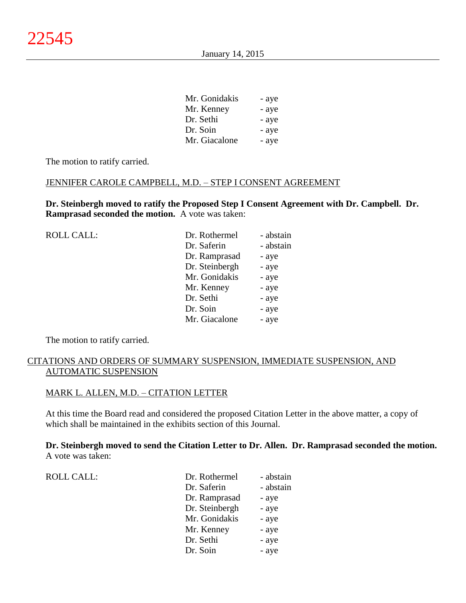| - aye |
|-------|
| - aye |
| - aye |
| - aye |
| - aye |
|       |

 $\overline{M}$   $\overline{G}$   $\overline{G}$ 

The motion to ratify carried.

## JENNIFER CAROLE CAMPBELL, M.D. – STEP I CONSENT AGREEMENT

**Dr. Steinbergh moved to ratify the Proposed Step I Consent Agreement with Dr. Campbell. Dr. Ramprasad seconded the motion.** A vote was taken:

| <b>ROLL CALL:</b> | Dr. Rothermel  | - abstain |
|-------------------|----------------|-----------|
|                   | Dr. Saferin    | - abstain |
|                   | Dr. Ramprasad  | - aye     |
|                   | Dr. Steinbergh | - aye     |
|                   | Mr. Gonidakis  | - aye     |
|                   | Mr. Kenney     | - aye     |
|                   | Dr. Sethi      | - aye     |
|                   | Dr. Soin       | - aye     |
|                   | Mr. Giacalone  | - aye     |
|                   |                |           |

The motion to ratify carried.

## CITATIONS AND ORDERS OF SUMMARY SUSPENSION, IMMEDIATE SUSPENSION, AND AUTOMATIC SUSPENSION

## MARK L. ALLEN, M.D. – CITATION LETTER

At this time the Board read and considered the proposed Citation Letter in the above matter, a copy of which shall be maintained in the exhibits section of this Journal.

## **Dr. Steinbergh moved to send the Citation Letter to Dr. Allen. Dr. Ramprasad seconded the motion.** A vote was taken:

| <b>ROLL CALL:</b> | Dr. Rothermel  | - abstain |
|-------------------|----------------|-----------|
|                   | Dr. Saferin    | - abstain |
|                   | Dr. Ramprasad  | - aye     |
|                   | Dr. Steinbergh | - aye     |
|                   | Mr. Gonidakis  | - aye     |
|                   | Mr. Kenney     | - aye     |
|                   | Dr. Sethi      | - aye     |
|                   | Dr. Soin       | - aye     |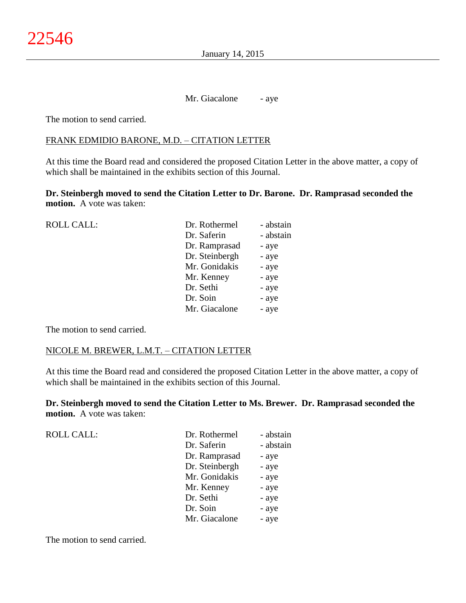Mr. Giacalone - aye

The motion to send carried.

## FRANK EDMIDIO BARONE, M.D. – CITATION LETTER

At this time the Board read and considered the proposed Citation Letter in the above matter, a copy of which shall be maintained in the exhibits section of this Journal.

**Dr. Steinbergh moved to send the Citation Letter to Dr. Barone. Dr. Ramprasad seconded the motion.** A vote was taken:

| <b>ROLL CALL:</b> | Dr. Rothermel  | - abstain |
|-------------------|----------------|-----------|
|                   | Dr. Saferin    | - abstain |
|                   | Dr. Ramprasad  | - aye     |
|                   | Dr. Steinbergh | - aye     |
|                   | Mr. Gonidakis  | - aye     |
|                   | Mr. Kenney     | - aye     |
|                   | Dr. Sethi      | - aye     |
|                   | Dr. Soin       | - aye     |
|                   | Mr. Giacalone  | - aye     |
|                   |                |           |

The motion to send carried.

#### NICOLE M. BREWER, L.M.T. – CITATION LETTER

At this time the Board read and considered the proposed Citation Letter in the above matter, a copy of which shall be maintained in the exhibits section of this Journal.

**Dr. Steinbergh moved to send the Citation Letter to Ms. Brewer. Dr. Ramprasad seconded the motion.** A vote was taken:

| <b>ROLL CALL:</b> | Dr. Rothermel  | - abstain |
|-------------------|----------------|-----------|
|                   | Dr. Saferin    | - abstain |
|                   | Dr. Ramprasad  | - aye     |
|                   | Dr. Steinbergh | - aye     |
|                   | Mr. Gonidakis  | - aye     |
|                   | Mr. Kenney     | - aye     |
|                   | Dr. Sethi      | - aye     |
|                   | Dr. Soin       | - aye     |
|                   | Mr. Giacalone  | - aye     |

The motion to send carried.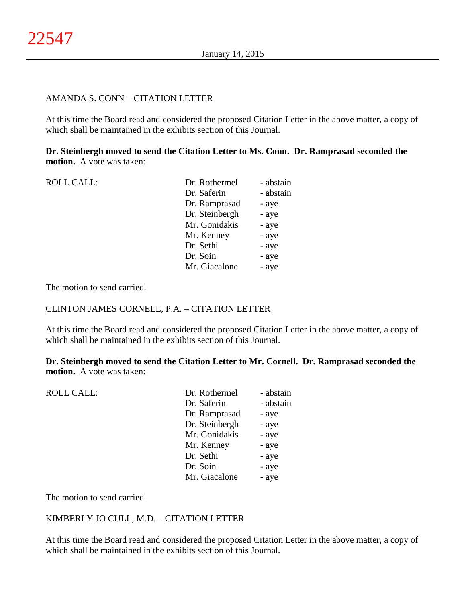## AMANDA S. CONN – CITATION LETTER

At this time the Board read and considered the proposed Citation Letter in the above matter, a copy of which shall be maintained in the exhibits section of this Journal.

**Dr. Steinbergh moved to send the Citation Letter to Ms. Conn. Dr. Ramprasad seconded the motion.** A vote was taken:

| <b>ROLL CALL:</b> | Dr. Rothermel  | - abstain |
|-------------------|----------------|-----------|
|                   | Dr. Saferin    | - abstain |
|                   | Dr. Ramprasad  | - aye     |
|                   | Dr. Steinbergh | - aye     |
|                   | Mr. Gonidakis  | - aye     |
|                   | Mr. Kenney     | - aye     |
|                   | Dr. Sethi      | - aye     |
|                   | Dr. Soin       | - aye     |
|                   | Mr. Giacalone  | - aye     |
|                   |                |           |

The motion to send carried.

#### CLINTON JAMES CORNELL, P.A. – CITATION LETTER

At this time the Board read and considered the proposed Citation Letter in the above matter, a copy of which shall be maintained in the exhibits section of this Journal.

**Dr. Steinbergh moved to send the Citation Letter to Mr. Cornell. Dr. Ramprasad seconded the motion.** A vote was taken:

| <b>ROLL CALL:</b> | Dr. Rothermel  | - abstain |
|-------------------|----------------|-----------|
|                   | Dr. Saferin    | - abstain |
|                   | Dr. Ramprasad  | - aye     |
|                   | Dr. Steinbergh | - aye     |
|                   | Mr. Gonidakis  | - aye     |
|                   | Mr. Kenney     | - aye     |
|                   | Dr. Sethi      | - aye     |
|                   | Dr. Soin       | - aye     |
|                   | Mr. Giacalone  | - aye     |
|                   |                |           |

The motion to send carried.

## KIMBERLY JO CULL, M.D. – CITATION LETTER

At this time the Board read and considered the proposed Citation Letter in the above matter, a copy of which shall be maintained in the exhibits section of this Journal.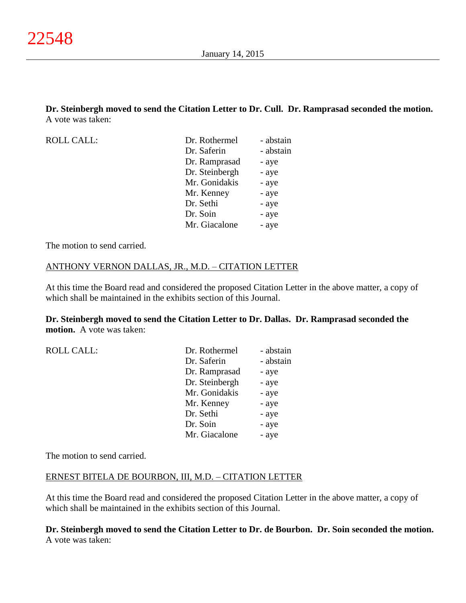**Dr. Steinbergh moved to send the Citation Letter to Dr. Cull. Dr. Ramprasad seconded the motion.** A vote was taken:

ROLL CALL:

| Dr. Rothermel  | - abstain |
|----------------|-----------|
| Dr. Saferin    | - abstain |
| Dr. Ramprasad  | - aye     |
| Dr. Steinbergh | - aye     |
| Mr. Gonidakis  | - aye     |
| Mr. Kenney     | - aye     |
| Dr. Sethi      | - aye     |
| Dr. Soin       | - aye     |
| Mr. Giacalone  | - aye     |

The motion to send carried.

## ANTHONY VERNON DALLAS, JR., M.D. – CITATION LETTER

At this time the Board read and considered the proposed Citation Letter in the above matter, a copy of which shall be maintained in the exhibits section of this Journal.

## **Dr. Steinbergh moved to send the Citation Letter to Dr. Dallas. Dr. Ramprasad seconded the motion.** A vote was taken:

| <b>ROLL CALL:</b> | Dr. Rothermel  | - abstain |
|-------------------|----------------|-----------|
|                   | Dr. Saferin    | - abstain |
|                   | Dr. Ramprasad  | - aye     |
|                   | Dr. Steinbergh | - aye     |
|                   | Mr. Gonidakis  | - aye     |
|                   | Mr. Kenney     | - aye     |
|                   | Dr. Sethi      | - aye     |
|                   | Dr. Soin       | - aye     |
|                   | Mr. Giacalone  | - aye     |

The motion to send carried.

#### ERNEST BITELA DE BOURBON, III, M.D. – CITATION LETTER

At this time the Board read and considered the proposed Citation Letter in the above matter, a copy of which shall be maintained in the exhibits section of this Journal.

**Dr. Steinbergh moved to send the Citation Letter to Dr. de Bourbon. Dr. Soin seconded the motion.** A vote was taken: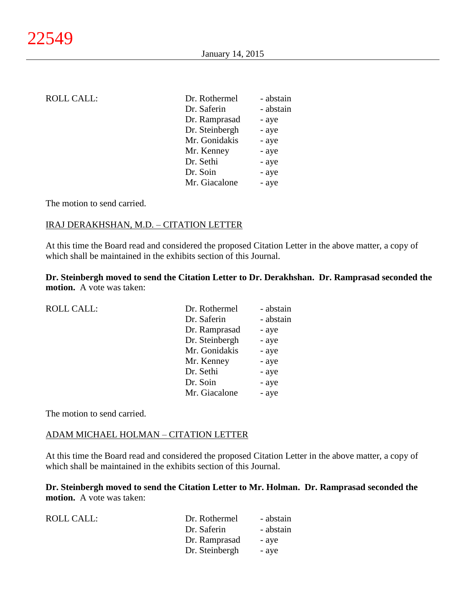| ROLL CALL: |  |
|------------|--|
|------------|--|

| <b>ROLL CALL:</b> | Dr. Rothermel  | - abstain |
|-------------------|----------------|-----------|
|                   | Dr. Saferin    | - abstain |
|                   | Dr. Ramprasad  | - aye     |
|                   | Dr. Steinbergh | - aye     |
|                   | Mr. Gonidakis  | - aye     |
|                   | Mr. Kenney     | - aye     |
|                   | Dr. Sethi      | - aye     |
|                   | Dr. Soin       | - aye     |
|                   | Mr. Giacalone  | - aye     |
|                   |                |           |

The motion to send carried.

## IRAJ DERAKHSHAN, M.D. – CITATION LETTER

At this time the Board read and considered the proposed Citation Letter in the above matter, a copy of which shall be maintained in the exhibits section of this Journal.

**Dr. Steinbergh moved to send the Citation Letter to Dr. Derakhshan. Dr. Ramprasad seconded the motion.** A vote was taken:

| <b>ROLL CALL:</b> | Dr. Rothermel  | - abstain |
|-------------------|----------------|-----------|
|                   | Dr. Saferin    | - abstain |
|                   | Dr. Ramprasad  | - aye     |
|                   | Dr. Steinbergh | - aye     |
|                   | Mr. Gonidakis  | - aye     |
|                   | Mr. Kenney     | - aye     |
|                   | Dr. Sethi      | - aye     |
|                   | Dr. Soin       | - aye     |
|                   | Mr. Giacalone  | - aye     |
|                   |                |           |

The motion to send carried.

#### ADAM MICHAEL HOLMAN – CITATION LETTER

At this time the Board read and considered the proposed Citation Letter in the above matter, a copy of which shall be maintained in the exhibits section of this Journal.

**Dr. Steinbergh moved to send the Citation Letter to Mr. Holman. Dr. Ramprasad seconded the motion.** A vote was taken:

| ROLL CALL: | Dr. Rothermel  | - abstain |
|------------|----------------|-----------|
|            | Dr. Saferin    | - abstain |
|            | Dr. Ramprasad  | - aye     |
|            | Dr. Steinbergh | - aye     |
|            |                |           |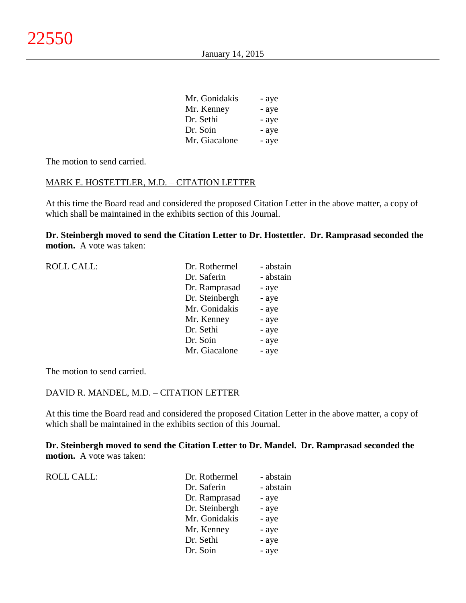| Mr. Gonidakis | - aye |
|---------------|-------|
| Mr. Kenney    | - aye |
| Dr. Sethi     | - aye |
| Dr. Soin      | - aye |
| Mr. Giacalone | - aye |

The motion to send carried.

#### MARK E. HOSTETTLER, M.D. – CITATION LETTER

At this time the Board read and considered the proposed Citation Letter in the above matter, a copy of which shall be maintained in the exhibits section of this Journal.

**Dr. Steinbergh moved to send the Citation Letter to Dr. Hostettler. Dr. Ramprasad seconded the motion.** A vote was taken:

| <b>ROLL CALL:</b> | Dr. Rothermel  | - abstain |
|-------------------|----------------|-----------|
|                   | Dr. Saferin    | - abstain |
|                   | Dr. Ramprasad  | - aye     |
|                   | Dr. Steinbergh | - aye     |
|                   | Mr. Gonidakis  | - aye     |
|                   | Mr. Kenney     | - aye     |
|                   | Dr. Sethi      | - aye     |
|                   | Dr. Soin       | - aye     |
|                   | Mr. Giacalone  | - aye     |
|                   |                |           |

The motion to send carried.

#### DAVID R. MANDEL, M.D. – CITATION LETTER

At this time the Board read and considered the proposed Citation Letter in the above matter, a copy of which shall be maintained in the exhibits section of this Journal.

**Dr. Steinbergh moved to send the Citation Letter to Dr. Mandel. Dr. Ramprasad seconded the motion.** A vote was taken:

| <b>ROLL CALL:</b> | Dr. Rothermel  | - abstain |
|-------------------|----------------|-----------|
|                   | Dr. Saferin    | - abstain |
|                   | Dr. Ramprasad  | - aye     |
|                   | Dr. Steinbergh | - aye     |
|                   | Mr. Gonidakis  | - aye     |
|                   | Mr. Kenney     | - aye     |
|                   | Dr. Sethi      | - aye     |
|                   | Dr. Soin       | - aye     |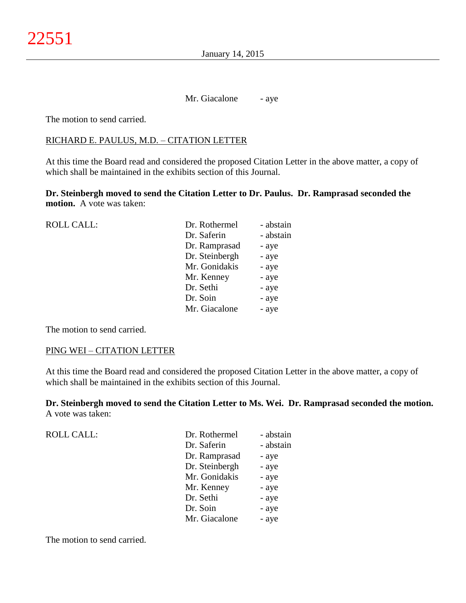Mr. Giacalone - aye

The motion to send carried.

## RICHARD E. PAULUS, M.D. – CITATION LETTER

At this time the Board read and considered the proposed Citation Letter in the above matter, a copy of which shall be maintained in the exhibits section of this Journal.

**Dr. Steinbergh moved to send the Citation Letter to Dr. Paulus. Dr. Ramprasad seconded the motion.** A vote was taken:

| <b>ROLL CALL:</b> | Dr. Rothermel  | - abstain |
|-------------------|----------------|-----------|
|                   | Dr. Saferin    | - abstain |
|                   | Dr. Ramprasad  | - aye     |
|                   | Dr. Steinbergh | - aye     |
|                   | Mr. Gonidakis  | - aye     |
|                   | Mr. Kenney     | - aye     |
|                   | Dr. Sethi      | - aye     |
|                   | Dr. Soin       | - aye     |
|                   | Mr. Giacalone  | - aye     |
|                   |                |           |

The motion to send carried.

#### PING WEI – CITATION LETTER

At this time the Board read and considered the proposed Citation Letter in the above matter, a copy of which shall be maintained in the exhibits section of this Journal.

**Dr. Steinbergh moved to send the Citation Letter to Ms. Wei. Dr. Ramprasad seconded the motion.** A vote was taken:

| Dr. Rothermel  | - abstain |
|----------------|-----------|
| Dr. Saferin    | - abstain |
| Dr. Ramprasad  | - aye     |
| Dr. Steinbergh | - aye     |
| Mr. Gonidakis  | - aye     |
| Mr. Kenney     | - aye     |
| Dr. Sethi      | - aye     |
| Dr. Soin       | - aye     |
| Mr. Giacalone  | - aye     |
|                |           |

The motion to send carried.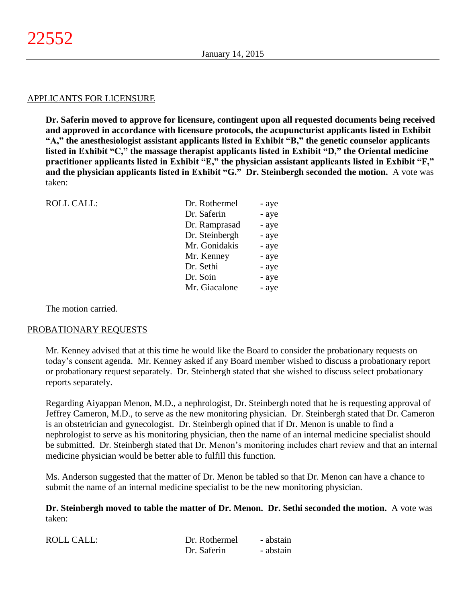#### APPLICANTS FOR LICENSURE

**Dr. Saferin moved to approve for licensure, contingent upon all requested documents being received and approved in accordance with licensure protocols, the acupuncturist applicants listed in Exhibit "A," the anesthesiologist assistant applicants listed in Exhibit "B," the genetic counselor applicants listed in Exhibit "C," the massage therapist applicants listed in Exhibit "D," the Oriental medicine practitioner applicants listed in Exhibit "E," the physician assistant applicants listed in Exhibit "F," and the physician applicants listed in Exhibit "G." Dr. Steinbergh seconded the motion.** A vote was taken:

| <b>ROLL CALL:</b> | Dr. Rothermel  | - aye |
|-------------------|----------------|-------|
|                   | Dr. Saferin    | - aye |
|                   | Dr. Ramprasad  | - aye |
|                   | Dr. Steinbergh | - aye |
|                   | Mr. Gonidakis  | - aye |
|                   | Mr. Kenney     | - aye |
|                   | Dr. Sethi      | - aye |
|                   | Dr. Soin       | - aye |
|                   | Mr. Giacalone  | - aye |
|                   |                |       |

The motion carried.

## PROBATIONARY REQUESTS

Mr. Kenney advised that at this time he would like the Board to consider the probationary requests on today's consent agenda. Mr. Kenney asked if any Board member wished to discuss a probationary report or probationary request separately. Dr. Steinbergh stated that she wished to discuss select probationary reports separately.

Regarding Aiyappan Menon, M.D., a nephrologist, Dr. Steinbergh noted that he is requesting approval of Jeffrey Cameron, M.D., to serve as the new monitoring physician. Dr. Steinbergh stated that Dr. Cameron is an obstetrician and gynecologist. Dr. Steinbergh opined that if Dr. Menon is unable to find a nephrologist to serve as his monitoring physician, then the name of an internal medicine specialist should be submitted. Dr. Steinbergh stated that Dr. Menon's monitoring includes chart review and that an internal medicine physician would be better able to fulfill this function.

Ms. Anderson suggested that the matter of Dr. Menon be tabled so that Dr. Menon can have a chance to submit the name of an internal medicine specialist to be the new monitoring physician.

**Dr. Steinbergh moved to table the matter of Dr. Menon. Dr. Sethi seconded the motion.** A vote was taken:

| ROLL CALL: | Dr. Rothermel | - abstain |
|------------|---------------|-----------|
|            | Dr. Saferin   | - abstain |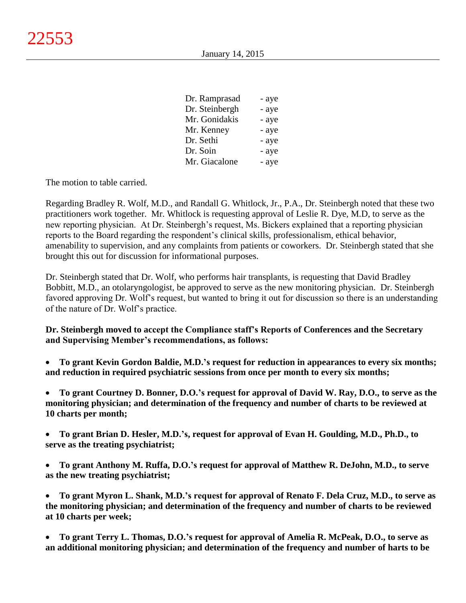| Dr. Ramprasad  | - aye |
|----------------|-------|
| Dr. Steinbergh | - aye |
| Mr. Gonidakis  | - aye |
| Mr. Kenney     | - aye |
| Dr. Sethi      | - aye |
| Dr. Soin       | - aye |
| Mr. Giacalone  | - aye |

The motion to table carried.

Regarding Bradley R. Wolf, M.D., and Randall G. Whitlock, Jr., P.A., Dr. Steinbergh noted that these two practitioners work together. Mr. Whitlock is requesting approval of Leslie R. Dye, M.D, to serve as the new reporting physician. At Dr. Steinbergh's request, Ms. Bickers explained that a reporting physician reports to the Board regarding the respondent's clinical skills, professionalism, ethical behavior, amenability to supervision, and any complaints from patients or coworkers. Dr. Steinbergh stated that she brought this out for discussion for informational purposes.

Dr. Steinbergh stated that Dr. Wolf, who performs hair transplants, is requesting that David Bradley Bobbitt, M.D., an otolaryngologist, be approved to serve as the new monitoring physician. Dr. Steinbergh favored approving Dr. Wolf's request, but wanted to bring it out for discussion so there is an understanding of the nature of Dr. Wolf's practice.

**Dr. Steinbergh moved to accept the Compliance staff's Reports of Conferences and the Secretary and Supervising Member's recommendations, as follows:**

 **To grant Kevin Gordon Baldie, M.D.'s request for reduction in appearances to every six months; and reduction in required psychiatric sessions from once per month to every six months;**

 **To grant Courtney D. Bonner, D.O.'s request for approval of David W. Ray, D.O., to serve as the monitoring physician; and determination of the frequency and number of charts to be reviewed at 10 charts per month;**

 **To grant Brian D. Hesler, M.D.'s, request for approval of Evan H. Goulding, M.D., Ph.D., to serve as the treating psychiatrist;**

 **To grant Anthony M. Ruffa, D.O.'s request for approval of Matthew R. DeJohn, M.D., to serve as the new treating psychiatrist;**

 **To grant Myron L. Shank, M.D.'s request for approval of Renato F. Dela Cruz, M.D., to serve as the monitoring physician; and determination of the frequency and number of charts to be reviewed at 10 charts per week;**

 **To grant Terry L. Thomas, D.O.'s request for approval of Amelia R. McPeak, D.O., to serve as an additional monitoring physician; and determination of the frequency and number of harts to be**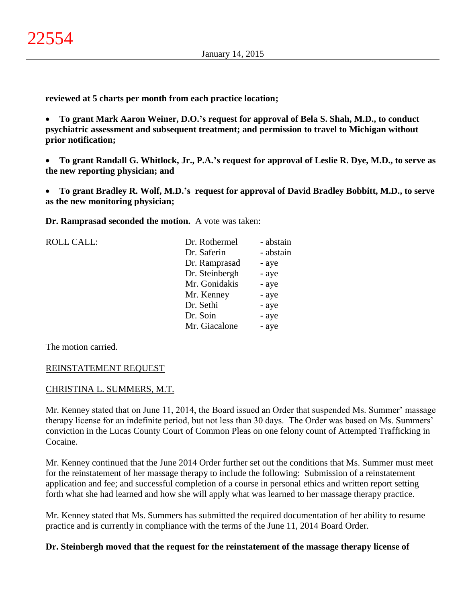**reviewed at 5 charts per month from each practice location;**

 **To grant Mark Aaron Weiner, D.O.'s request for approval of Bela S. Shah, M.D., to conduct psychiatric assessment and subsequent treatment; and permission to travel to Michigan without prior notification;**

 **To grant Randall G. Whitlock, Jr., P.A.'s request for approval of Leslie R. Dye, M.D., to serve as the new reporting physician; and**

 **To grant Bradley R. Wolf, M.D.'s request for approval of David Bradley Bobbitt, M.D., to serve as the new monitoring physician;**

**Dr. Ramprasad seconded the motion.** A vote was taken:

| <b>ROLL CALL:</b> | Dr. Rothermel  | - abstain |
|-------------------|----------------|-----------|
|                   | Dr. Saferin    | - abstain |
|                   | Dr. Ramprasad  | - aye     |
|                   | Dr. Steinbergh | - aye     |
|                   | Mr. Gonidakis  | - aye     |
|                   | Mr. Kenney     | - aye     |
|                   | Dr. Sethi      | - aye     |
|                   | Dr. Soin       | - aye     |
|                   | Mr. Giacalone  | - aye     |
|                   |                |           |

The motion carried.

## REINSTATEMENT REQUEST

## CHRISTINA L. SUMMERS, M.T.

Mr. Kenney stated that on June 11, 2014, the Board issued an Order that suspended Ms. Summer' massage therapy license for an indefinite period, but not less than 30 days. The Order was based on Ms. Summers' conviction in the Lucas County Court of Common Pleas on one felony count of Attempted Trafficking in Cocaine.

Mr. Kenney continued that the June 2014 Order further set out the conditions that Ms. Summer must meet for the reinstatement of her massage therapy to include the following: Submission of a reinstatement application and fee; and successful completion of a course in personal ethics and written report setting forth what she had learned and how she will apply what was learned to her massage therapy practice.

Mr. Kenney stated that Ms. Summers has submitted the required documentation of her ability to resume practice and is currently in compliance with the terms of the June 11, 2014 Board Order.

## **Dr. Steinbergh moved that the request for the reinstatement of the massage therapy license of**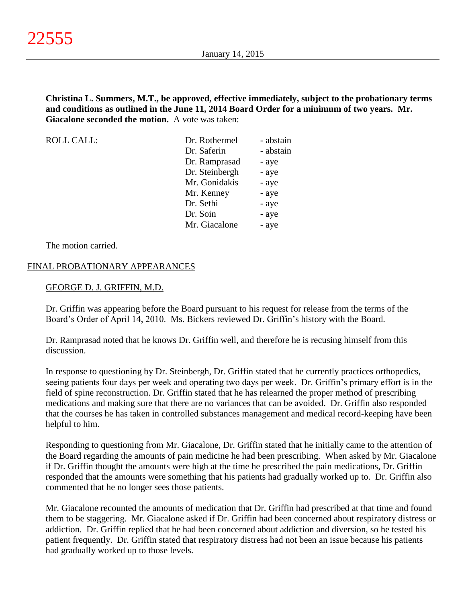**Christina L. Summers, M.T., be approved, effective immediately, subject to the probationary terms and conditions as outlined in the June 11, 2014 Board Order for a minimum of two years. Mr. Giacalone seconded the motion.** A vote was taken:

| <b>ROLL CALL:</b> | Dr. Rothermel  | - abstain |
|-------------------|----------------|-----------|
|                   | Dr. Saferin    | - abstain |
|                   | Dr. Ramprasad  | - aye     |
|                   | Dr. Steinbergh | - aye     |
|                   | Mr. Gonidakis  | - aye     |
|                   | Mr. Kenney     | - aye     |
|                   | Dr. Sethi      | - aye     |
|                   | Dr. Soin       | - aye     |
|                   | Mr. Giacalone  | - aye     |
|                   |                |           |

The motion carried.

## FINAL PROBATIONARY APPEARANCES

#### GEORGE D. J. GRIFFIN, M.D.

Dr. Griffin was appearing before the Board pursuant to his request for release from the terms of the Board's Order of April 14, 2010. Ms. Bickers reviewed Dr. Griffin's history with the Board.

Dr. Ramprasad noted that he knows Dr. Griffin well, and therefore he is recusing himself from this discussion.

In response to questioning by Dr. Steinbergh, Dr. Griffin stated that he currently practices orthopedics, seeing patients four days per week and operating two days per week. Dr. Griffin's primary effort is in the field of spine reconstruction. Dr. Griffin stated that he has relearned the proper method of prescribing medications and making sure that there are no variances that can be avoided. Dr. Griffin also responded that the courses he has taken in controlled substances management and medical record-keeping have been helpful to him.

Responding to questioning from Mr. Giacalone, Dr. Griffin stated that he initially came to the attention of the Board regarding the amounts of pain medicine he had been prescribing. When asked by Mr. Giacalone if Dr. Griffin thought the amounts were high at the time he prescribed the pain medications, Dr. Griffin responded that the amounts were something that his patients had gradually worked up to. Dr. Griffin also commented that he no longer sees those patients.

Mr. Giacalone recounted the amounts of medication that Dr. Griffin had prescribed at that time and found them to be staggering. Mr. Giacalone asked if Dr. Griffin had been concerned about respiratory distress or addiction. Dr. Griffin replied that he had been concerned about addiction and diversion, so he tested his patient frequently. Dr. Griffin stated that respiratory distress had not been an issue because his patients had gradually worked up to those levels.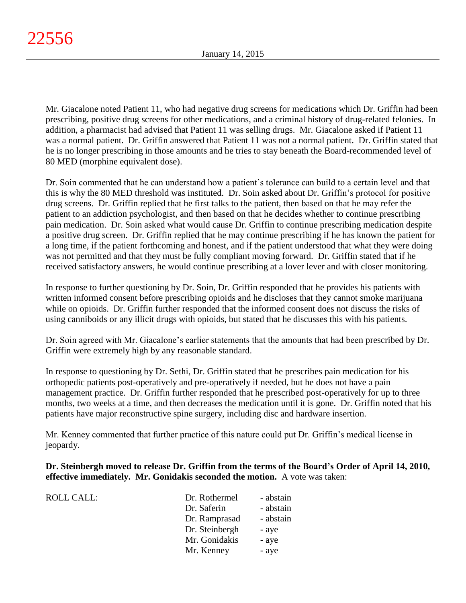Mr. Giacalone noted Patient 11, who had negative drug screens for medications which Dr. Griffin had been prescribing, positive drug screens for other medications, and a criminal history of drug-related felonies. In addition, a pharmacist had advised that Patient 11 was selling drugs. Mr. Giacalone asked if Patient 11 was a normal patient. Dr. Griffin answered that Patient 11 was not a normal patient. Dr. Griffin stated that he is no longer prescribing in those amounts and he tries to stay beneath the Board-recommended level of 80 MED (morphine equivalent dose).

Dr. Soin commented that he can understand how a patient's tolerance can build to a certain level and that this is why the 80 MED threshold was instituted. Dr. Soin asked about Dr. Griffin's protocol for positive drug screens. Dr. Griffin replied that he first talks to the patient, then based on that he may refer the patient to an addiction psychologist, and then based on that he decides whether to continue prescribing pain medication. Dr. Soin asked what would cause Dr. Griffin to continue prescribing medication despite a positive drug screen. Dr. Griffin replied that he may continue prescribing if he has known the patient for a long time, if the patient forthcoming and honest, and if the patient understood that what they were doing was not permitted and that they must be fully compliant moving forward. Dr. Griffin stated that if he received satisfactory answers, he would continue prescribing at a lover lever and with closer monitoring.

In response to further questioning by Dr. Soin, Dr. Griffin responded that he provides his patients with written informed consent before prescribing opioids and he discloses that they cannot smoke marijuana while on opioids. Dr. Griffin further responded that the informed consent does not discuss the risks of using canniboids or any illicit drugs with opioids, but stated that he discusses this with his patients.

Dr. Soin agreed with Mr. Giacalone's earlier statements that the amounts that had been prescribed by Dr. Griffin were extremely high by any reasonable standard.

In response to questioning by Dr. Sethi, Dr. Griffin stated that he prescribes pain medication for his orthopedic patients post-operatively and pre-operatively if needed, but he does not have a pain management practice. Dr. Griffin further responded that he prescribed post-operatively for up to three months, two weeks at a time, and then decreases the medication until it is gone. Dr. Griffin noted that his patients have major reconstructive spine surgery, including disc and hardware insertion.

Mr. Kenney commented that further practice of this nature could put Dr. Griffin's medical license in jeopardy.

**Dr. Steinbergh moved to release Dr. Griffin from the terms of the Board's Order of April 14, 2010, effective immediately. Mr. Gonidakis seconded the motion.** A vote was taken:

| <b>ROLL CALL:</b> | Dr. Rothermel  | - abstain |
|-------------------|----------------|-----------|
|                   | Dr. Saferin    | - abstain |
|                   | Dr. Ramprasad  | - abstain |
|                   | Dr. Steinbergh | - aye     |
|                   | Mr. Gonidakis  | - aye     |
|                   | Mr. Kenney     | - aye     |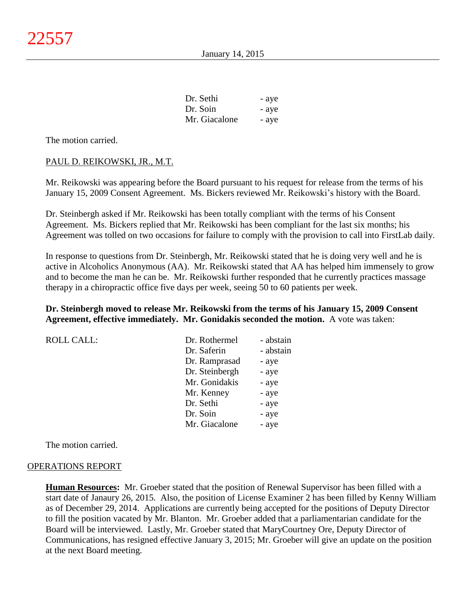| Dr. Sethi     | - aye |
|---------------|-------|
| Dr. Soin      | - aye |
| Mr. Giacalone | - aye |

The motion carried.

## PAUL D. REIKOWSKI, JR., M.T.

Mr. Reikowski was appearing before the Board pursuant to his request for release from the terms of his January 15, 2009 Consent Agreement. Ms. Bickers reviewed Mr. Reikowski's history with the Board.

Dr. Steinbergh asked if Mr. Reikowski has been totally compliant with the terms of his Consent Agreement. Ms. Bickers replied that Mr. Reikowski has been compliant for the last six months; his Agreement was tolled on two occasions for failure to comply with the provision to call into FirstLab daily.

In response to questions from Dr. Steinbergh, Mr. Reikowski stated that he is doing very well and he is active in Alcoholics Anonymous (AA). Mr. Reikowski stated that AA has helped him immensely to grow and to become the man he can be. Mr. Reikowski further responded that he currently practices massage therapy in a chiropractic office five days per week, seeing 50 to 60 patients per week.

## **Dr. Steinbergh moved to release Mr. Reikowski from the terms of his January 15, 2009 Consent Agreement, effective immediately. Mr. Gonidakis seconded the motion.** A vote was taken:

| <b>ROLL CALL:</b> | Dr. Rothermel  | - abstain |
|-------------------|----------------|-----------|
|                   | Dr. Saferin    | - abstain |
|                   | Dr. Ramprasad  | - aye     |
|                   | Dr. Steinbergh | - aye     |
|                   | Mr. Gonidakis  | - aye     |
|                   | Mr. Kenney     | - aye     |
|                   | Dr. Sethi      | - aye     |
|                   | Dr. Soin       | - aye     |
|                   | Mr. Giacalone  | - aye     |

The motion carried.

#### OPERATIONS REPORT

**Human Resources:** Mr. Groeber stated that the position of Renewal Supervisor has been filled with a start date of Janaury 26, 2015. Also, the position of License Examiner 2 has been filled by Kenny William as of December 29, 2014. Applications are currently being accepted for the positions of Deputy Director to fill the position vacated by Mr. Blanton. Mr. Groeber added that a parliamentarian candidate for the Board will be interviewed. Lastly, Mr. Groeber stated that MaryCourtney Ore, Deputy Director of Communications, has resigned effective January 3, 2015; Mr. Groeber will give an update on the position at the next Board meeting.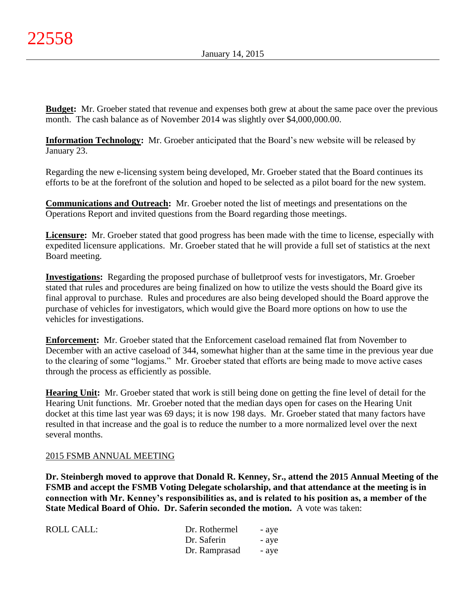**Budget:** Mr. Groeber stated that revenue and expenses both grew at about the same pace over the previous month. The cash balance as of November 2014 was slightly over \$4,000,000.00.

**Information Technology:** Mr. Groeber anticipated that the Board's new website will be released by January 23.

Regarding the new e-licensing system being developed, Mr. Groeber stated that the Board continues its efforts to be at the forefront of the solution and hoped to be selected as a pilot board for the new system.

**Communications and Outreach:** Mr. Groeber noted the list of meetings and presentations on the Operations Report and invited questions from the Board regarding those meetings.

**Licensure:** Mr. Groeber stated that good progress has been made with the time to license, especially with expedited licensure applications. Mr. Groeber stated that he will provide a full set of statistics at the next Board meeting.

**Investigations:** Regarding the proposed purchase of bulletproof vests for investigators, Mr. Groeber stated that rules and procedures are being finalized on how to utilize the vests should the Board give its final approval to purchase. Rules and procedures are also being developed should the Board approve the purchase of vehicles for investigators, which would give the Board more options on how to use the vehicles for investigations.

**Enforcement:** Mr. Groeber stated that the Enforcement caseload remained flat from November to December with an active caseload of 344, somewhat higher than at the same time in the previous year due to the clearing of some "logjams." Mr. Groeber stated that efforts are being made to move active cases through the process as efficiently as possible.

**Hearing Unit:** Mr. Groeber stated that work is still being done on getting the fine level of detail for the Hearing Unit functions. Mr. Groeber noted that the median days open for cases on the Hearing Unit docket at this time last year was 69 days; it is now 198 days. Mr. Groeber stated that many factors have resulted in that increase and the goal is to reduce the number to a more normalized level over the next several months.

# 2015 FSMB ANNUAL MEETING

**Dr. Steinbergh moved to approve that Donald R. Kenney, Sr., attend the 2015 Annual Meeting of the FSMB and accept the FSMB Voting Delegate scholarship, and that attendance at the meeting is in connection with Mr. Kenney's responsibilities as, and is related to his position as, a member of the State Medical Board of Ohio. Dr. Saferin seconded the motion.** A vote was taken:

| Dr. Rothermel | - aye |
|---------------|-------|
| Dr. Saferin   | - aye |
| Dr. Ramprasad | - aye |
|               |       |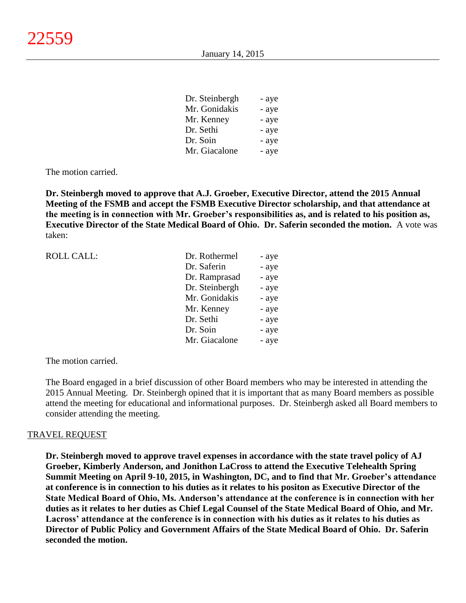| Dr. Steinbergh | - aye |
|----------------|-------|
| Mr. Gonidakis  | - aye |
| Mr. Kenney     | - aye |
| Dr. Sethi      | - aye |
| Dr. Soin       | - aye |
| Mr. Giacalone  | - aye |

The motion carried.

**Dr. Steinbergh moved to approve that A.J. Groeber, Executive Director, attend the 2015 Annual Meeting of the FSMB and accept the FSMB Executive Director scholarship, and that attendance at the meeting is in connection with Mr. Groeber's responsibilities as, and is related to his position as, Executive Director of the State Medical Board of Ohio. Dr. Saferin seconded the motion.** A vote was taken:

| <b>ROLL CALL:</b> | Dr. Rothermel  | - aye |
|-------------------|----------------|-------|
|                   | Dr. Saferin    | - aye |
|                   | Dr. Ramprasad  | - aye |
|                   | Dr. Steinbergh | - aye |
|                   | Mr. Gonidakis  | - aye |
|                   | Mr. Kenney     | - aye |
|                   | Dr. Sethi      | - aye |
|                   | Dr. Soin       | - aye |
|                   | Mr. Giacalone  | - aye |
|                   |                |       |

The motion carried.

The Board engaged in a brief discussion of other Board members who may be interested in attending the 2015 Annual Meeting. Dr. Steinbergh opined that it is important that as many Board members as possible attend the meeting for educational and informational purposes. Dr. Steinbergh asked all Board members to consider attending the meeting.

#### TRAVEL REQUEST

**Dr. Steinbergh moved to approve travel expenses in accordance with the state travel policy of AJ Groeber, Kimberly Anderson, and Jonithon LaCross to attend the Executive Telehealth Spring Summit Meeting on April 9-10, 2015, in Washington, DC, and to find that Mr. Groeber's attendance at conference is in connection to his duties as it relates to his positon as Executive Director of the State Medical Board of Ohio, Ms. Anderson's attendance at the conference is in connection with her duties as it relates to her duties as Chief Legal Counsel of the State Medical Board of Ohio, and Mr. Lacross' attendance at the conference is in connection with his duties as it relates to his duties as Director of Public Policy and Government Affairs of the State Medical Board of Ohio. Dr. Saferin seconded the motion.**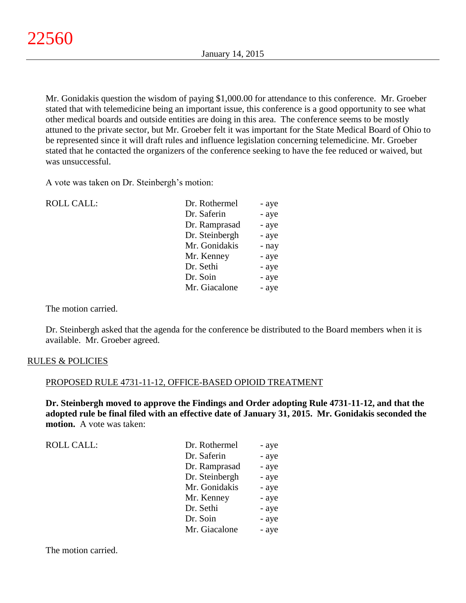Mr. Gonidakis question the wisdom of paying \$1,000.00 for attendance to this conference. Mr. Groeber stated that with telemedicine being an important issue, this conference is a good opportunity to see what other medical boards and outside entities are doing in this area. The conference seems to be mostly attuned to the private sector, but Mr. Groeber felt it was important for the State Medical Board of Ohio to be represented since it will draft rules and influence legislation concerning telemedicine. Mr. Groeber stated that he contacted the organizers of the conference seeking to have the fee reduced or waived, but was unsuccessful.

A vote was taken on Dr. Steinbergh's motion:

| <b>ROLL CALL:</b> | Dr. Rothermel  | - aye |
|-------------------|----------------|-------|
|                   | Dr. Saferin    | - aye |
|                   | Dr. Ramprasad  | - aye |
|                   | Dr. Steinbergh | - aye |
|                   | Mr. Gonidakis  | - nay |
|                   | Mr. Kenney     | - aye |
|                   | Dr. Sethi      | - aye |
|                   | Dr. Soin       | - aye |
|                   | Mr. Giacalone  | - aye |
|                   |                |       |

The motion carried.

Dr. Steinbergh asked that the agenda for the conference be distributed to the Board members when it is available. Mr. Groeber agreed.

## RULES & POLICIES

## PROPOSED RULE 4731-11-12, OFFICE-BASED OPIOID TREATMENT

**Dr. Steinbergh moved to approve the Findings and Order adopting Rule 4731-11-12, and that the adopted rule be final filed with an effective date of January 31, 2015. Mr. Gonidakis seconded the motion.** A vote was taken:

| <b>ROLL CALL:</b> | Dr. Rothermel  | - aye |
|-------------------|----------------|-------|
|                   | Dr. Saferin    | - aye |
|                   | Dr. Ramprasad  | - aye |
|                   | Dr. Steinbergh | - aye |
|                   | Mr. Gonidakis  | - aye |
|                   | Mr. Kenney     | - aye |
|                   | Dr. Sethi      | - aye |
|                   | Dr. Soin       | - aye |
|                   | Mr. Giacalone  | - aye |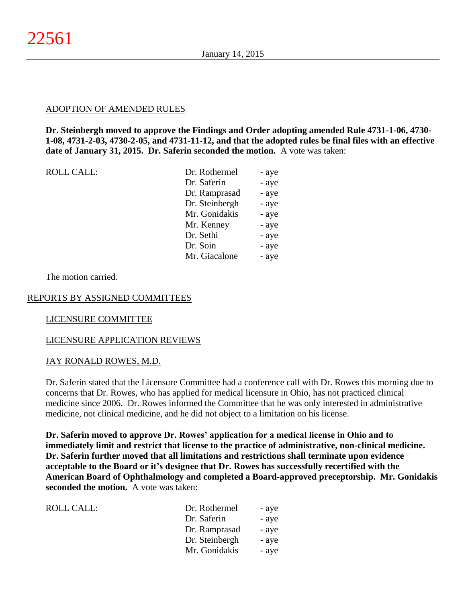## ADOPTION OF AMENDED RULES

**Dr. Steinbergh moved to approve the Findings and Order adopting amended Rule 4731-1-06, 4730- 1-08, 4731-2-03, 4730-2-05, and 4731-11-12, and that the adopted rules be final files with an effective date of January 31, 2015. Dr. Saferin seconded the motion.** A vote was taken:

| ROLL CALL: |  |
|------------|--|
|            |  |

| <b>ROLL CALL:</b> | Dr. Rothermel  | - aye |
|-------------------|----------------|-------|
|                   | Dr. Saferin    | - aye |
|                   | Dr. Ramprasad  | - aye |
|                   | Dr. Steinbergh | - aye |
|                   | Mr. Gonidakis  | - aye |
|                   | Mr. Kenney     | - aye |
|                   | Dr. Sethi      | - aye |
|                   | Dr. Soin       | - aye |
|                   | Mr. Giacalone  | - aye |
|                   |                |       |

The motion carried.

## REPORTS BY ASSIGNED COMMITTEES

#### LICENSURE COMMITTEE

## LICENSURE APPLICATION REVIEWS

#### JAY RONALD ROWES, M.D.

Dr. Saferin stated that the Licensure Committee had a conference call with Dr. Rowes this morning due to concerns that Dr. Rowes, who has applied for medical licensure in Ohio, has not practiced clinical medicine since 2006. Dr. Rowes informed the Committee that he was only interested in administrative medicine, not clinical medicine, and he did not object to a limitation on his license.

**Dr. Saferin moved to approve Dr. Rowes' application for a medical license in Ohio and to immediately limit and restrict that license to the practice of administrative, non-clinical medicine. Dr. Saferin further moved that all limitations and restrictions shall terminate upon evidence acceptable to the Board or it's designee that Dr. Rowes has successfully recertified with the American Board of Ophthalmology and completed a Board-approved preceptorship. Mr. Gonidakis seconded the motion.** A vote was taken:

| Dr. Rothermel  | - aye |
|----------------|-------|
| Dr. Saferin    | - aye |
| Dr. Ramprasad  | - aye |
| Dr. Steinbergh | - aye |
| Mr. Gonidakis  | - aye |
|                |       |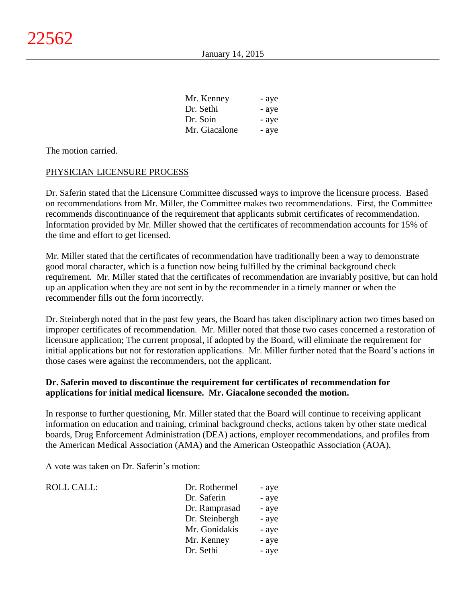| Mr. Kenney    | - aye |
|---------------|-------|
| Dr. Sethi     | - aye |
| Dr. Soin      | - aye |
| Mr. Giacalone | - aye |

The motion carried.

## PHYSICIAN LICENSURE PROCESS

Dr. Saferin stated that the Licensure Committee discussed ways to improve the licensure process. Based on recommendations from Mr. Miller, the Committee makes two recommendations. First, the Committee recommends discontinuance of the requirement that applicants submit certificates of recommendation. Information provided by Mr. Miller showed that the certificates of recommendation accounts for 15% of the time and effort to get licensed.

Mr. Miller stated that the certificates of recommendation have traditionally been a way to demonstrate good moral character, which is a function now being fulfilled by the criminal background check requirement. Mr. Miller stated that the certificates of recommendation are invariably positive, but can hold up an application when they are not sent in by the recommender in a timely manner or when the recommender fills out the form incorrectly.

Dr. Steinbergh noted that in the past few years, the Board has taken disciplinary action two times based on improper certificates of recommendation. Mr. Miller noted that those two cases concerned a restoration of licensure application; The current proposal, if adopted by the Board, will eliminate the requirement for initial applications but not for restoration applications. Mr. Miller further noted that the Board's actions in those cases were against the recommenders, not the applicant.

# **Dr. Saferin moved to discontinue the requirement for certificates of recommendation for applications for initial medical licensure. Mr. Giacalone seconded the motion.**

In response to further questioning, Mr. Miller stated that the Board will continue to receiving applicant information on education and training, criminal background checks, actions taken by other state medical boards, Drug Enforcement Administration (DEA) actions, employer recommendations, and profiles from the American Medical Association (AMA) and the American Osteopathic Association (AOA).

A vote was taken on Dr. Saferin's motion:

| <b>ROLL CALL:</b> | Dr. Rothermel  | - aye |
|-------------------|----------------|-------|
|                   | Dr. Saferin    | - aye |
|                   | Dr. Ramprasad  | - aye |
|                   | Dr. Steinbergh | - aye |
|                   | Mr. Gonidakis  | - aye |
|                   | Mr. Kenney     | - aye |
|                   | Dr. Sethi      | - aye |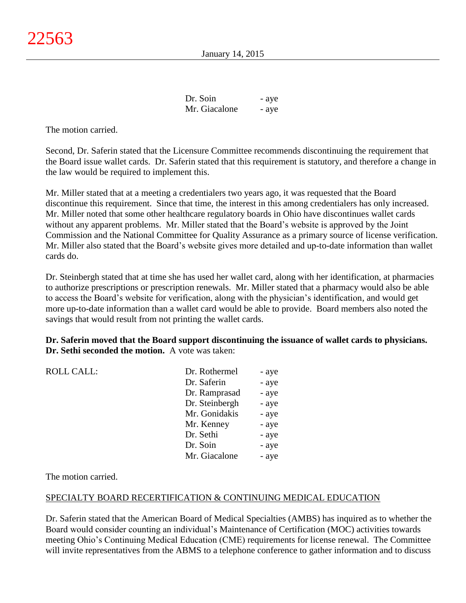| Dr. Soin      | - aye |
|---------------|-------|
| Mr. Giacalone | - aye |

The motion carried.

Second, Dr. Saferin stated that the Licensure Committee recommends discontinuing the requirement that the Board issue wallet cards. Dr. Saferin stated that this requirement is statutory, and therefore a change in the law would be required to implement this.

Mr. Miller stated that at a meeting a credentialers two years ago, it was requested that the Board discontinue this requirement. Since that time, the interest in this among credentialers has only increased. Mr. Miller noted that some other healthcare regulatory boards in Ohio have discontinues wallet cards without any apparent problems. Mr. Miller stated that the Board's website is approved by the Joint Commission and the National Committee for Quality Assurance as a primary source of license verification. Mr. Miller also stated that the Board's website gives more detailed and up-to-date information than wallet cards do.

Dr. Steinbergh stated that at time she has used her wallet card, along with her identification, at pharmacies to authorize prescriptions or prescription renewals. Mr. Miller stated that a pharmacy would also be able to access the Board's website for verification, along with the physician's identification, and would get more up-to-date information than a wallet card would be able to provide. Board members also noted the savings that would result from not printing the wallet cards.

## **Dr. Saferin moved that the Board support discontinuing the issuance of wallet cards to physicians. Dr. Sethi seconded the motion.** A vote was taken:

| <b>ROLL CALL:</b> | Dr. Rothermel  | - aye |
|-------------------|----------------|-------|
|                   | Dr. Saferin    | - aye |
|                   | Dr. Ramprasad  | - aye |
|                   | Dr. Steinbergh | - aye |
|                   | Mr. Gonidakis  | - aye |
|                   | Mr. Kenney     | - aye |
|                   | Dr. Sethi      | - aye |
|                   | Dr. Soin       | - aye |
|                   | Mr. Giacalone  | - aye |
|                   |                |       |

The motion carried.

## SPECIALTY BOARD RECERTIFICATION & CONTINUING MEDICAL EDUCATION

Dr. Saferin stated that the American Board of Medical Specialties (AMBS) has inquired as to whether the Board would consider counting an individual's Maintenance of Certification (MOC) activities towards meeting Ohio's Continuing Medical Education (CME) requirements for license renewal. The Committee will invite representatives from the ABMS to a telephone conference to gather information and to discuss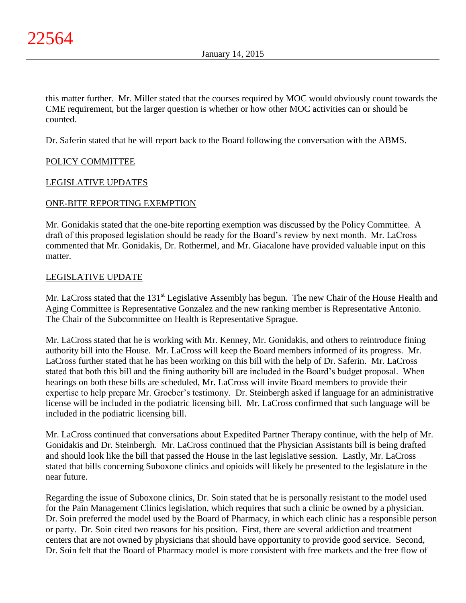this matter further. Mr. Miller stated that the courses required by MOC would obviously count towards the CME requirement, but the larger question is whether or how other MOC activities can or should be counted.

Dr. Saferin stated that he will report back to the Board following the conversation with the ABMS.

# POLICY COMMITTEE

## LEGISLATIVE UPDATES

## ONE-BITE REPORTING EXEMPTION

Mr. Gonidakis stated that the one-bite reporting exemption was discussed by the Policy Committee. A draft of this proposed legislation should be ready for the Board's review by next month. Mr. LaCross commented that Mr. Gonidakis, Dr. Rothermel, and Mr. Giacalone have provided valuable input on this matter.

## LEGISLATIVE UPDATE

Mr. LaCross stated that the 131<sup>st</sup> Legislative Assembly has begun. The new Chair of the House Health and Aging Committee is Representative Gonzalez and the new ranking member is Representative Antonio. The Chair of the Subcommittee on Health is Representative Sprague.

Mr. LaCross stated that he is working with Mr. Kenney, Mr. Gonidakis, and others to reintroduce fining authority bill into the House. Mr. LaCross will keep the Board members informed of its progress. Mr. LaCross further stated that he has been working on this bill with the help of Dr. Saferin. Mr. LaCross stated that both this bill and the fining authority bill are included in the Board's budget proposal. When hearings on both these bills are scheduled, Mr. LaCross will invite Board members to provide their expertise to help prepare Mr. Groeber's testimony. Dr. Steinbergh asked if language for an administrative license will be included in the podiatric licensing bill. Mr. LaCross confirmed that such language will be included in the podiatric licensing bill.

Mr. LaCross continued that conversations about Expedited Partner Therapy continue, with the help of Mr. Gonidakis and Dr. Steinbergh. Mr. LaCross continued that the Physician Assistants bill is being drafted and should look like the bill that passed the House in the last legislative session. Lastly, Mr. LaCross stated that bills concerning Suboxone clinics and opioids will likely be presented to the legislature in the near future.

Regarding the issue of Suboxone clinics, Dr. Soin stated that he is personally resistant to the model used for the Pain Management Clinics legislation, which requires that such a clinic be owned by a physician. Dr. Soin preferred the model used by the Board of Pharmacy, in which each clinic has a responsible person or party. Dr. Soin cited two reasons for his position. First, there are several addiction and treatment centers that are not owned by physicians that should have opportunity to provide good service. Second, Dr. Soin felt that the Board of Pharmacy model is more consistent with free markets and the free flow of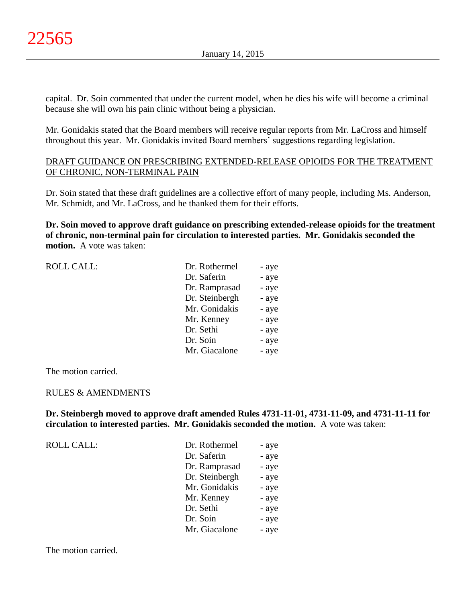capital. Dr. Soin commented that under the current model, when he dies his wife will become a criminal because she will own his pain clinic without being a physician.

Mr. Gonidakis stated that the Board members will receive regular reports from Mr. LaCross and himself throughout this year. Mr. Gonidakis invited Board members' suggestions regarding legislation.

# DRAFT GUIDANCE ON PRESCRIBING EXTENDED-RELEASE OPIOIDS FOR THE TREATMENT OF CHRONIC, NON-TERMINAL PAIN

Dr. Soin stated that these draft guidelines are a collective effort of many people, including Ms. Anderson, Mr. Schmidt, and Mr. LaCross, and he thanked them for their efforts.

**Dr. Soin moved to approve draft guidance on prescribing extended-release opioids for the treatment of chronic, non-terminal pain for circulation to interested parties. Mr. Gonidakis seconded the motion.** A vote was taken:

| <b>ROLL CALL:</b> | Dr. Rothermel  | - aye |
|-------------------|----------------|-------|
|                   | Dr. Saferin    | - aye |
|                   | Dr. Ramprasad  | - aye |
|                   | Dr. Steinbergh | - aye |
|                   | Mr. Gonidakis  | - aye |
|                   | Mr. Kenney     | - aye |
|                   | Dr. Sethi      | - aye |
|                   | Dr. Soin       | - aye |
|                   | Mr. Giacalone  | - aye |
|                   |                |       |

The motion carried.

## RULES & AMENDMENTS

**Dr. Steinbergh moved to approve draft amended Rules 4731-11-01, 4731-11-09, and 4731-11-11 for circulation to interested parties. Mr. Gonidakis seconded the motion.** A vote was taken:

| <b>ROLL CALL:</b> | Dr. Rothermel  | - aye |
|-------------------|----------------|-------|
|                   | Dr. Saferin    | - aye |
|                   | Dr. Ramprasad  | - aye |
|                   | Dr. Steinbergh | - aye |
|                   | Mr. Gonidakis  | - aye |
|                   | Mr. Kenney     | - aye |
|                   | Dr. Sethi      | - aye |
|                   | Dr. Soin       | - aye |
|                   | Mr. Giacalone  | - aye |

The motion carried.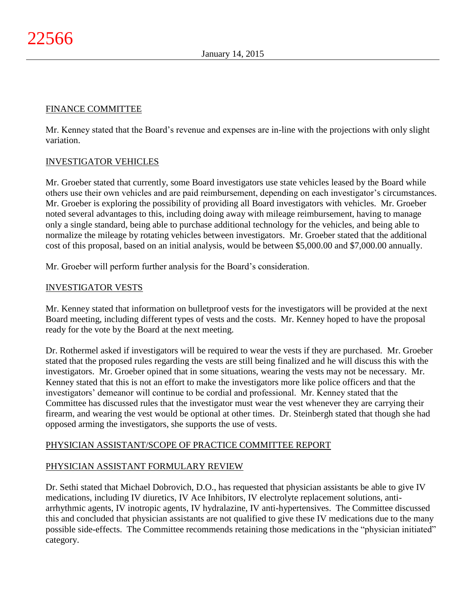# FINANCE COMMITTEE

Mr. Kenney stated that the Board's revenue and expenses are in-line with the projections with only slight variation.

# INVESTIGATOR VEHICLES

Mr. Groeber stated that currently, some Board investigators use state vehicles leased by the Board while others use their own vehicles and are paid reimbursement, depending on each investigator's circumstances. Mr. Groeber is exploring the possibility of providing all Board investigators with vehicles. Mr. Groeber noted several advantages to this, including doing away with mileage reimbursement, having to manage only a single standard, being able to purchase additional technology for the vehicles, and being able to normalize the mileage by rotating vehicles between investigators. Mr. Groeber stated that the additional cost of this proposal, based on an initial analysis, would be between \$5,000.00 and \$7,000.00 annually.

Mr. Groeber will perform further analysis for the Board's consideration.

# INVESTIGATOR VESTS

Mr. Kenney stated that information on bulletproof vests for the investigators will be provided at the next Board meeting, including different types of vests and the costs. Mr. Kenney hoped to have the proposal ready for the vote by the Board at the next meeting.

Dr. Rothermel asked if investigators will be required to wear the vests if they are purchased. Mr. Groeber stated that the proposed rules regarding the vests are still being finalized and he will discuss this with the investigators. Mr. Groeber opined that in some situations, wearing the vests may not be necessary. Mr. Kenney stated that this is not an effort to make the investigators more like police officers and that the investigators' demeanor will continue to be cordial and professional. Mr. Kenney stated that the Committee has discussed rules that the investigator must wear the vest whenever they are carrying their firearm, and wearing the vest would be optional at other times. Dr. Steinbergh stated that though she had opposed arming the investigators, she supports the use of vests.

# PHYSICIAN ASSISTANT/SCOPE OF PRACTICE COMMITTEE REPORT

# PHYSICIAN ASSISTANT FORMULARY REVIEW

Dr. Sethi stated that Michael Dobrovich, D.O., has requested that physician assistants be able to give IV medications, including IV diuretics, IV Ace Inhibitors, IV electrolyte replacement solutions, antiarrhythmic agents, IV inotropic agents, IV hydralazine, IV anti-hypertensives. The Committee discussed this and concluded that physician assistants are not qualified to give these IV medications due to the many possible side-effects. The Committee recommends retaining those medications in the "physician initiated" category.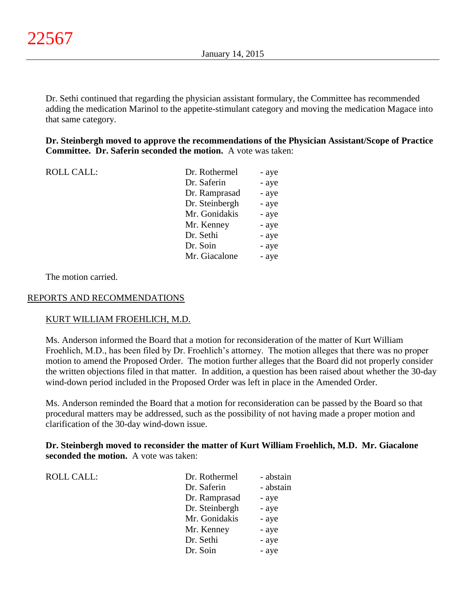Dr. Sethi continued that regarding the physician assistant formulary, the Committee has recommended adding the medication Marinol to the appetite-stimulant category and moving the medication Magace into that same category.

**Dr. Steinbergh moved to approve the recommendations of the Physician Assistant/Scope of Practice Committee. Dr. Saferin seconded the motion.** A vote was taken:

| <b>ROLL CALL:</b> | Dr. Rothermel  | - aye |
|-------------------|----------------|-------|
|                   | Dr. Saferin    | - aye |
|                   | Dr. Ramprasad  | - aye |
|                   | Dr. Steinbergh | - aye |
|                   | Mr. Gonidakis  | - aye |
|                   | Mr. Kenney     | - aye |
|                   | Dr. Sethi      | - aye |
|                   | Dr. Soin       | - aye |
|                   | Mr. Giacalone  | - aye |
|                   |                |       |

The motion carried.

## REPORTS AND RECOMMENDATIONS

## KURT WILLIAM FROEHLICH, M.D.

Ms. Anderson informed the Board that a motion for reconsideration of the matter of Kurt William Froehlich, M.D., has been filed by Dr. Froehlich's attorney. The motion alleges that there was no proper motion to amend the Proposed Order. The motion further alleges that the Board did not properly consider the written objections filed in that matter. In addition, a question has been raised about whether the 30-day wind-down period included in the Proposed Order was left in place in the Amended Order.

Ms. Anderson reminded the Board that a motion for reconsideration can be passed by the Board so that procedural matters may be addressed, such as the possibility of not having made a proper motion and clarification of the 30-day wind-down issue.

## **Dr. Steinbergh moved to reconsider the matter of Kurt William Froehlich, M.D. Mr. Giacalone seconded the motion.** A vote was taken:

| <b>ROLL CALL:</b> | Dr. Rothermel  | - abstain |
|-------------------|----------------|-----------|
|                   | Dr. Saferin    | - abstain |
|                   | Dr. Ramprasad  | - aye     |
|                   | Dr. Steinbergh | - aye     |
|                   | Mr. Gonidakis  | - aye     |
|                   | Mr. Kenney     | - aye     |
|                   | Dr. Sethi      | - aye     |
|                   | Dr. Soin       | - aye     |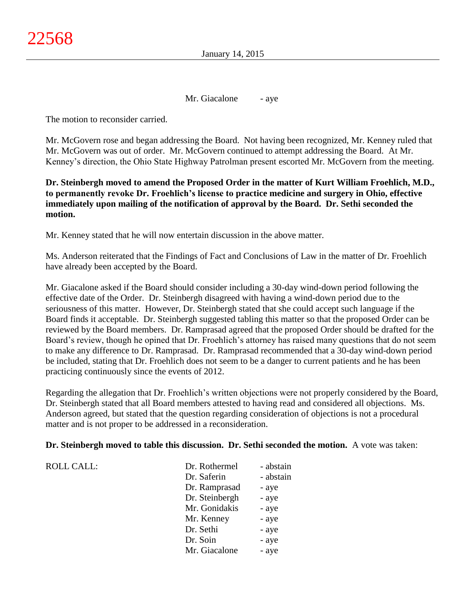Mr. Giacalone - aye

The motion to reconsider carried.

Mr. McGovern rose and began addressing the Board. Not having been recognized, Mr. Kenney ruled that Mr. McGovern was out of order. Mr. McGovern continued to attempt addressing the Board. At Mr. Kenney's direction, the Ohio State Highway Patrolman present escorted Mr. McGovern from the meeting.

**Dr. Steinbergh moved to amend the Proposed Order in the matter of Kurt William Froehlich, M.D., to permanently revoke Dr. Froehlich's license to practice medicine and surgery in Ohio, effective immediately upon mailing of the notification of approval by the Board. Dr. Sethi seconded the motion.**

Mr. Kenney stated that he will now entertain discussion in the above matter.

Ms. Anderson reiterated that the Findings of Fact and Conclusions of Law in the matter of Dr. Froehlich have already been accepted by the Board.

Mr. Giacalone asked if the Board should consider including a 30-day wind-down period following the effective date of the Order. Dr. Steinbergh disagreed with having a wind-down period due to the seriousness of this matter. However, Dr. Steinbergh stated that she could accept such language if the Board finds it acceptable. Dr. Steinbergh suggested tabling this matter so that the proposed Order can be reviewed by the Board members. Dr. Ramprasad agreed that the proposed Order should be drafted for the Board's review, though he opined that Dr. Froehlich's attorney has raised many questions that do not seem to make any difference to Dr. Ramprasad. Dr. Ramprasad recommended that a 30-day wind-down period be included, stating that Dr. Froehlich does not seem to be a danger to current patients and he has been practicing continuously since the events of 2012.

Regarding the allegation that Dr. Froehlich's written objections were not properly considered by the Board, Dr. Steinbergh stated that all Board members attested to having read and considered all objections. Ms. Anderson agreed, but stated that the question regarding consideration of objections is not a procedural matter and is not proper to be addressed in a reconsideration.

## **Dr. Steinbergh moved to table this discussion. Dr. Sethi seconded the motion.** A vote was taken:

| <b>ROLL CALL:</b> | Dr. Rothermel  | - abstain |
|-------------------|----------------|-----------|
|                   | Dr. Saferin    | - abstain |
|                   | Dr. Ramprasad  | - aye     |
|                   | Dr. Steinbergh | - aye     |
|                   | Mr. Gonidakis  | - aye     |
|                   | Mr. Kenney     | - aye     |
|                   | Dr. Sethi      | - aye     |
|                   | Dr. Soin       | - aye     |
|                   | Mr. Giacalone  | - aye     |
|                   |                |           |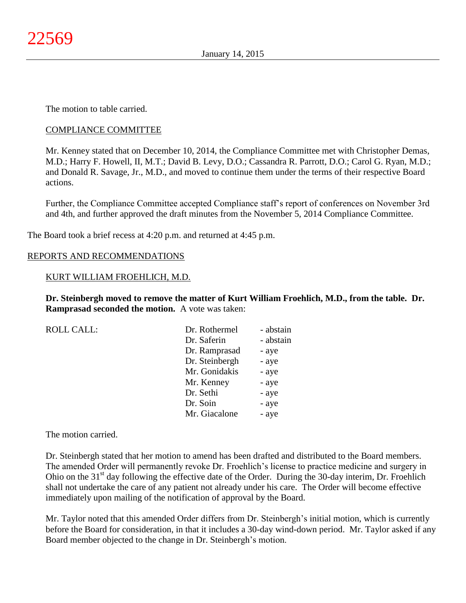The motion to table carried.

## COMPLIANCE COMMITTEE

Mr. Kenney stated that on December 10, 2014, the Compliance Committee met with Christopher Demas, M.D.; Harry F. Howell, II, M.T.; David B. Levy, D.O.; Cassandra R. Parrott, D.O.; Carol G. Ryan, M.D.; and Donald R. Savage, Jr., M.D., and moved to continue them under the terms of their respective Board actions.

Further, the Compliance Committee accepted Compliance staff's report of conferences on November 3rd and 4th, and further approved the draft minutes from the November 5, 2014 Compliance Committee.

The Board took a brief recess at 4:20 p.m. and returned at 4:45 p.m.

## REPORTS AND RECOMMENDATIONS

## KURT WILLIAM FROEHLICH, M.D.

**Dr. Steinbergh moved to remove the matter of Kurt William Froehlich, M.D., from the table. Dr. Ramprasad seconded the motion.** A vote was taken:

| <b>ROLL CALL:</b> | Dr. Rothermel  | - abstain |
|-------------------|----------------|-----------|
|                   | Dr. Saferin    | - abstain |
|                   | Dr. Ramprasad  | - aye     |
|                   | Dr. Steinbergh | - aye     |
|                   | Mr. Gonidakis  | - aye     |
|                   | Mr. Kenney     | - aye     |
|                   | Dr. Sethi      | - aye     |
|                   | Dr. Soin       | - aye     |
|                   | Mr. Giacalone  | - aye     |

The motion carried.

Dr. Steinbergh stated that her motion to amend has been drafted and distributed to the Board members. The amended Order will permanently revoke Dr. Froehlich's license to practice medicine and surgery in Ohio on the 31<sup>st</sup> day following the effective date of the Order. During the 30-day interim, Dr. Froehlich shall not undertake the care of any patient not already under his care. The Order will become effective immediately upon mailing of the notification of approval by the Board.

Mr. Taylor noted that this amended Order differs from Dr. Steinbergh's initial motion, which is currently before the Board for consideration, in that it includes a 30-day wind-down period. Mr. Taylor asked if any Board member objected to the change in Dr. Steinbergh's motion.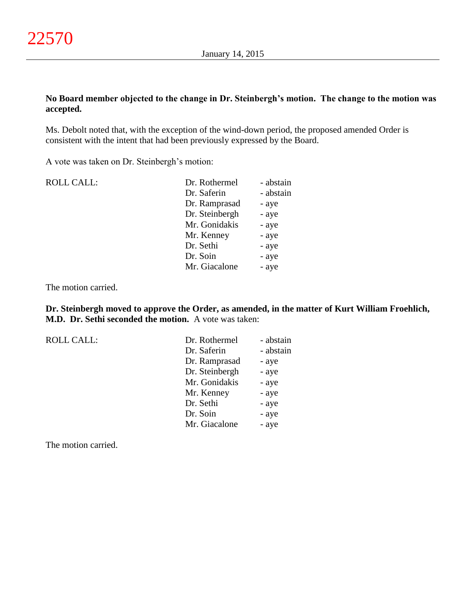# **No Board member objected to the change in Dr. Steinbergh's motion. The change to the motion was accepted.**

Ms. Debolt noted that, with the exception of the wind-down period, the proposed amended Order is consistent with the intent that had been previously expressed by the Board.

A vote was taken on Dr. Steinbergh's motion:

| <b>ROLL CALL:</b> | Dr. Rothermel  | - abstain |
|-------------------|----------------|-----------|
|                   | Dr. Saferin    | - abstain |
|                   | Dr. Ramprasad  | - aye     |
|                   | Dr. Steinbergh | - aye     |
|                   | Mr. Gonidakis  | - aye     |
|                   | Mr. Kenney     | - aye     |
|                   | Dr. Sethi      | - aye     |
|                   | Dr. Soin       | - aye     |
|                   | Mr. Giacalone  | - aye     |
|                   |                |           |

The motion carried.

**Dr. Steinbergh moved to approve the Order, as amended, in the matter of Kurt William Froehlich, M.D. Dr. Sethi seconded the motion.** A vote was taken:

ROLL CALL:

| Dr. Rothermel  | - abstain |
|----------------|-----------|
| Dr. Saferin    | - abstain |
| Dr. Ramprasad  | - aye     |
| Dr. Steinbergh | - aye     |
| Mr. Gonidakis  | - aye     |
| Mr. Kenney     | - aye     |
| Dr. Sethi      | - aye     |
| Dr. Soin       | - aye     |
| Mr. Giacalone  | - aye     |

The motion carried.